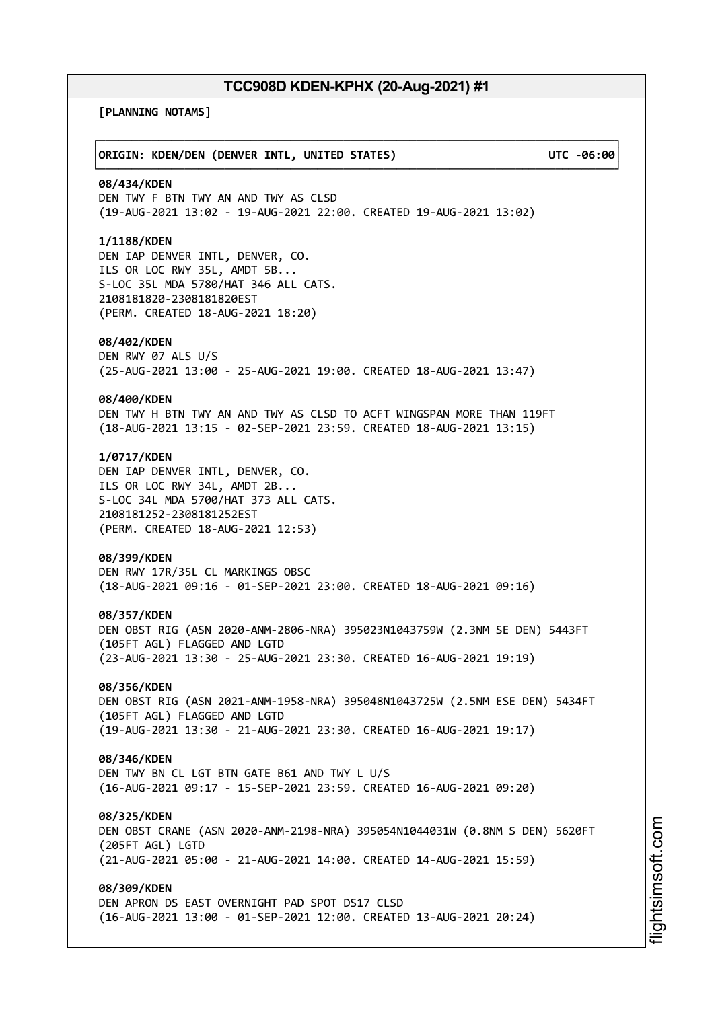┌──────────────────────────────────────────────────────────────────────────────┐

└──────────────────────────────────────────────────────────────────────────────┘

**[PLANNING NOTAMS]**

### │**ORIGIN: KDEN/DEN (DENVER INTL, UNITED STATES) UTC -06:00**│

### **08/434/KDEN**

DEN TWY F BTN TWY AN AND TWY AS CLSD (19-AUG-2021 13:02 - 19-AUG-2021 22:00. CREATED 19-AUG-2021 13:02)

### **1/1188/KDEN**

DEN IAP DENVER INTL, DENVER, CO. ILS OR LOC RWY 35L, AMDT 5B... S-LOC 35L MDA 5780/HAT 346 ALL CATS. 2108181820-2308181820EST (PERM. CREATED 18-AUG-2021 18:20)

#### **08/402/KDEN**

DEN RWY 07 ALS U/S (25-AUG-2021 13:00 - 25-AUG-2021 19:00. CREATED 18-AUG-2021 13:47)

#### **08/400/KDEN**

DEN TWY H BTN TWY AN AND TWY AS CLSD TO ACFT WINGSPAN MORE THAN 119FT (18-AUG-2021 13:15 - 02-SEP-2021 23:59. CREATED 18-AUG-2021 13:15)

### **1/0717/KDEN**

DEN IAP DENVER INTL, DENVER, CO. ILS OR LOC RWY 34L, AMDT 2B... S-LOC 34L MDA 5700/HAT 373 ALL CATS. 2108181252-2308181252EST (PERM. CREATED 18-AUG-2021 12:53)

#### **08/399/KDEN**

DEN RWY 17R/35L CL MARKINGS OBSC (18-AUG-2021 09:16 - 01-SEP-2021 23:00. CREATED 18-AUG-2021 09:16)

#### **08/357/KDEN**

DEN OBST RIG (ASN 2020-ANM-2806-NRA) 395023N1043759W (2.3NM SE DEN) 5443FT (105FT AGL) FLAGGED AND LGTD (23-AUG-2021 13:30 - 25-AUG-2021 23:30. CREATED 16-AUG-2021 19:19)

# **08/356/KDEN**

DEN OBST RIG (ASN 2021-ANM-1958-NRA) 395048N1043725W (2.5NM ESE DEN) 5434FT (105FT AGL) FLAGGED AND LGTD (19-AUG-2021 13:30 - 21-AUG-2021 23:30. CREATED 16-AUG-2021 19:17)

### **08/346/KDEN**

DEN TWY BN CL LGT BTN GATE B61 AND TWY L U/S (16-AUG-2021 09:17 - 15-SEP-2021 23:59. CREATED 16-AUG-2021 09:20)

### **08/325/KDEN**

DEN OBST CRANE (ASN 2020-ANM-2198-NRA) 395054N1044031W (0.8NM S DEN) 5620FT (205FT AGL) LGTD (21-AUG-2021 05:00 - 21-AUG-2021 14:00. CREATED 14-AUG-2021 15:59)

# **08/309/KDEN**

DEN APRON DS EAST OVERNIGHT PAD SPOT DS17 CLSD (16-AUG-2021 13:00 - 01-SEP-2021 12:00. CREATED 13-AUG-2021 20:24)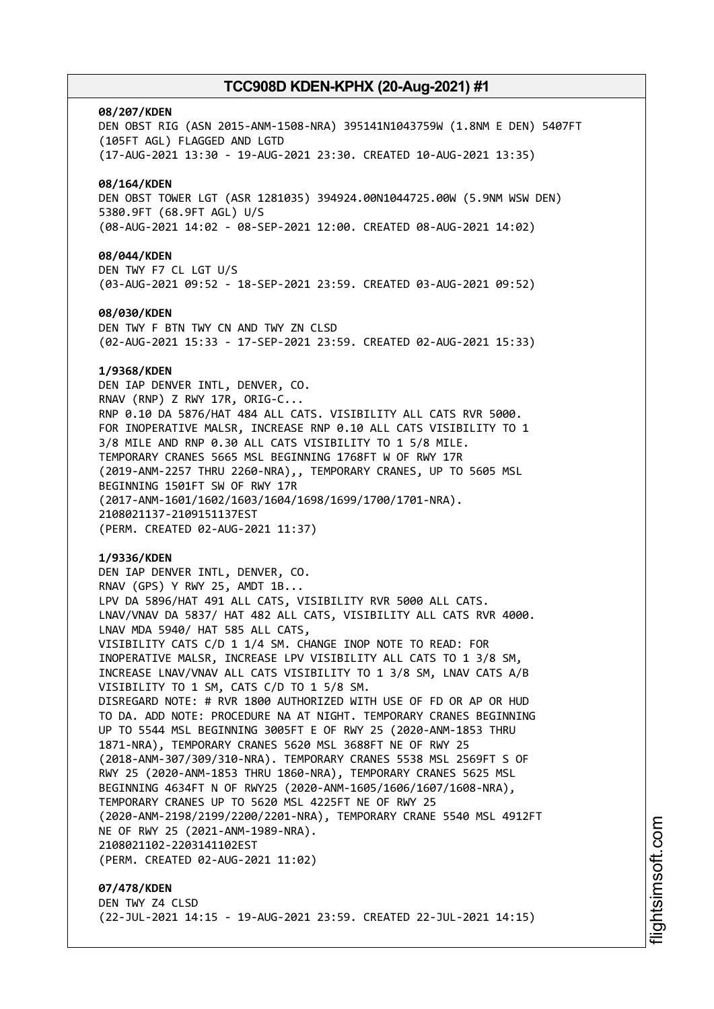#### **08/207/KDEN**

DEN OBST RIG (ASN 2015-ANM-1508-NRA) 395141N1043759W (1.8NM E DEN) 5407FT (105FT AGL) FLAGGED AND LGTD (17-AUG-2021 13:30 - 19-AUG-2021 23:30. CREATED 10-AUG-2021 13:35) **08/164/KDEN** DEN OBST TOWER LGT (ASR 1281035) 394924.00N1044725.00W (5.9NM WSW DEN) 5380.9FT (68.9FT AGL) U/S (08-AUG-2021 14:02 - 08-SEP-2021 12:00. CREATED 08-AUG-2021 14:02) **08/044/KDEN** DEN TWY F7 CL LGT U/S (03-AUG-2021 09:52 - 18-SEP-2021 23:59. CREATED 03-AUG-2021 09:52) **08/030/KDEN** DEN TWY F BTN TWY CN AND TWY ZN CLSD (02-AUG-2021 15:33 - 17-SEP-2021 23:59. CREATED 02-AUG-2021 15:33) **1/9368/KDEN** DEN IAP DENVER INTL, DENVER, CO.

RNAV (RNP) Z RWY 17R, ORIG-C... RNP 0.10 DA 5876/HAT 484 ALL CATS. VISIBILITY ALL CATS RVR 5000. FOR INOPERATIVE MALSR, INCREASE RNP 0.10 ALL CATS VISIBILITY TO 1 3/8 MILE AND RNP 0.30 ALL CATS VISIBILITY TO 1 5/8 MILE. TEMPORARY CRANES 5665 MSL BEGINNING 1768FT W OF RWY 17R (2019-ANM-2257 THRU 2260-NRA),, TEMPORARY CRANES, UP TO 5605 MSL BEGINNING 1501FT SW OF RWY 17R (2017-ANM-1601/1602/1603/1604/1698/1699/1700/1701-NRA). 2108021137-2109151137EST (PERM. CREATED 02-AUG-2021 11:37)

#### **1/9336/KDEN**

DEN IAP DENVER INTL, DENVER, CO. RNAV (GPS) Y RWY 25, AMDT 1B... LPV DA 5896/HAT 491 ALL CATS, VISIBILITY RVR 5000 ALL CATS. LNAV/VNAV DA 5837/ HAT 482 ALL CATS, VISIBILITY ALL CATS RVR 4000. LNAV MDA 5940/ HAT 585 ALL CATS, VISIBILITY CATS C/D 1 1/4 SM. CHANGE INOP NOTE TO READ: FOR INOPERATIVE MALSR, INCREASE LPV VISIBILITY ALL CATS TO 1 3/8 SM, INCREASE LNAV/VNAV ALL CATS VISIBILITY TO 1 3/8 SM, LNAV CATS A/B VISIBILITY TO 1 SM, CATS C/D TO 1 5/8 SM. DISREGARD NOTE: # RVR 1800 AUTHORIZED WITH USE OF FD OR AP OR HUD TO DA. ADD NOTE: PROCEDURE NA AT NIGHT. TEMPORARY CRANES BEGINNING UP TO 5544 MSL BEGINNING 3005FT E OF RWY 25 (2020-ANM-1853 THRU 1871-NRA), TEMPORARY CRANES 5620 MSL 3688FT NE OF RWY 25 (2018-ANM-307/309/310-NRA). TEMPORARY CRANES 5538 MSL 2569FT S OF RWY 25 (2020-ANM-1853 THRU 1860-NRA), TEMPORARY CRANES 5625 MSL BEGINNING 4634FT N OF RWY25 (2020-ANM-1605/1606/1607/1608-NRA), TEMPORARY CRANES UP TO 5620 MSL 4225FT NE OF RWY 25 (2020-ANM-2198/2199/2200/2201-NRA), TEMPORARY CRANE 5540 MSL 4912FT NE OF RWY 25 (2021-ANM-1989-NRA). 2108021102-2203141102EST (PERM. CREATED 02-AUG-2021 11:02)

**07/478/KDEN** DEN TWY Z4 CLSD (22-JUL-2021 14:15 - 19-AUG-2021 23:59. CREATED 22-JUL-2021 14:15)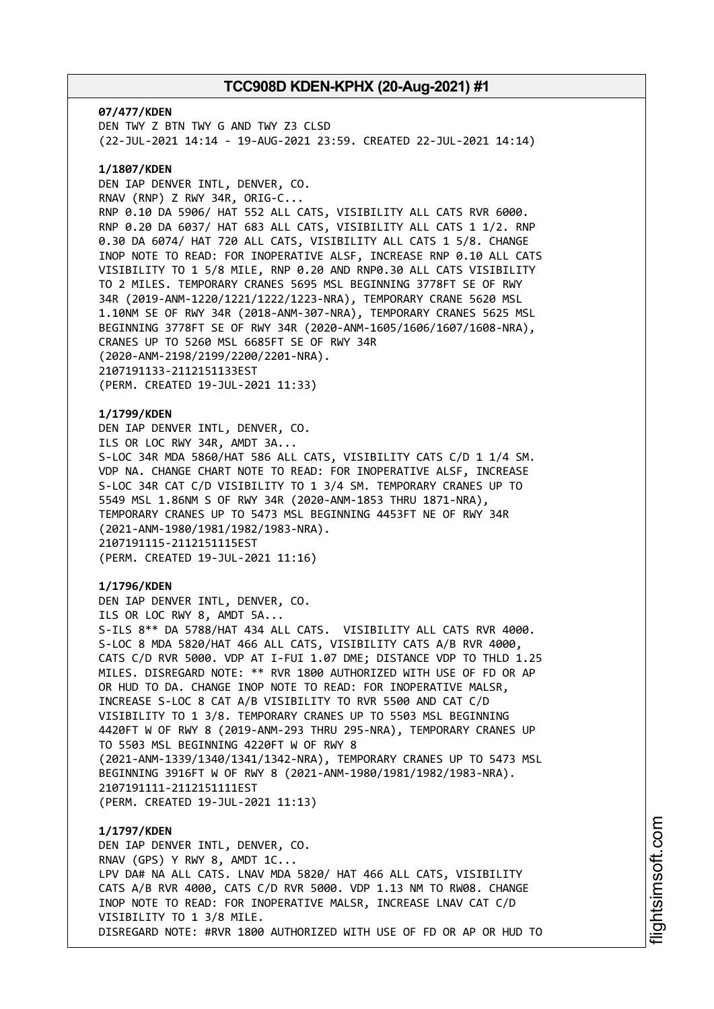**07/477/KDEN** DEN TWY Z BTN TWY G AND TWY Z3 CLSD (22-JUL-2021 14:14 - 19-AUG-2021 23:59. CREATED 22-JUL-2021 14:14)

### **1/1807/KDEN**

DEN IAP DENVER INTL, DENVER, CO. RNAV (RNP) Z RWY 34R, ORIG-C... RNP 0.10 DA 5906/ HAT 552 ALL CATS, VISIBILITY ALL CATS RVR 6000. RNP 0.20 DA 6037/ HAT 683 ALL CATS, VISIBILITY ALL CATS 1 1/2. RNP 0.30 DA 6074/ HAT 720 ALL CATS, VISIBILITY ALL CATS 1 5/8. CHANGE INOP NOTE TO READ: FOR INOPERATIVE ALSF, INCREASE RNP 0.10 ALL CATS VISIBILITY TO 1 5/8 MILE, RNP 0.20 AND RNP0.30 ALL CATS VISIBILITY TO 2 MILES. TEMPORARY CRANES 5695 MSL BEGINNING 3778FT SE OF RWY 34R (2019-ANM-1220/1221/1222/1223-NRA), TEMPORARY CRANE 5620 MSL 1.10NM SE OF RWY 34R (2018-ANM-307-NRA), TEMPORARY CRANES 5625 MSL BEGINNING 3778FT SE OF RWY 34R (2020-ANM-1605/1606/1607/1608-NRA), CRANES UP TO 5260 MSL 6685FT SE OF RWY 34R (2020-ANM-2198/2199/2200/2201-NRA). 2107191133-2112151133EST (PERM. CREATED 19-JUL-2021 11:33)

# **1/1799/KDEN**

DEN IAP DENVER INTL, DENVER, CO. ILS OR LOC RWY 34R, AMDT 3A... S-LOC 34R MDA 5860/HAT 586 ALL CATS, VISIBILITY CATS C/D 1 1/4 SM. VDP NA. CHANGE CHART NOTE TO READ: FOR INOPERATIVE ALSF, INCREASE S-LOC 34R CAT C/D VISIBILITY TO 1 3/4 SM. TEMPORARY CRANES UP TO 5549 MSL 1.86NM S OF RWY 34R (2020-ANM-1853 THRU 1871-NRA), TEMPORARY CRANES UP TO 5473 MSL BEGINNING 4453FT NE OF RWY 34R (2021-ANM-1980/1981/1982/1983-NRA). 2107191115-2112151115EST (PERM. CREATED 19-JUL-2021 11:16)

### **1/1796/KDEN**

DEN IAP DENVER INTL, DENVER, CO. ILS OR LOC RWY 8, AMDT 5A... S-ILS 8\*\* DA 5788/HAT 434 ALL CATS. VISIBILITY ALL CATS RVR 4000. S-LOC 8 MDA 5820/HAT 466 ALL CATS, VISIBILITY CATS A/B RVR 4000, CATS C/D RVR 5000. VDP AT I-FUI 1.07 DME; DISTANCE VDP TO THLD 1.25 MILES. DISREGARD NOTE: \*\* RVR 1800 AUTHORIZED WITH USE OF FD OR AP OR HUD TO DA. CHANGE INOP NOTE TO READ: FOR INOPERATIVE MALSR, INCREASE S-LOC 8 CAT A/B VISIBILITY TO RVR 5500 AND CAT C/D VISIBILITY TO 1 3/8. TEMPORARY CRANES UP TO 5503 MSL BEGINNING 4420FT W OF RWY 8 (2019-ANM-293 THRU 295-NRA), TEMPORARY CRANES UP TO 5503 MSL BEGINNING 4220FT W OF RWY 8 (2021-ANM-1339/1340/1341/1342-NRA), TEMPORARY CRANES UP TO 5473 MSL BEGINNING 3916FT W OF RWY 8 (2021-ANM-1980/1981/1982/1983-NRA). 2107191111-2112151111EST (PERM. CREATED 19-JUL-2021 11:13)

# **1/1797/KDEN** DEN IAP DENVER INTL, DENVER, CO. RNAV (GPS) Y RWY 8, AMDT 1C... LPV DA# NA ALL CATS. LNAV MDA 5820/ HAT 466 ALL CATS, VISIBILITY CATS A/B RVR 4000, CATS C/D RVR 5000. VDP 1.13 NM TO RW08. CHANGE INOP NOTE TO READ: FOR INOPERATIVE MALSR, INCREASE LNAV CAT C/D VISIBILITY TO 1 3/8 MILE. DISREGARD NOTE: #RVR 1800 AUTHORIZED WITH USE OF FD OR AP OR HUD TO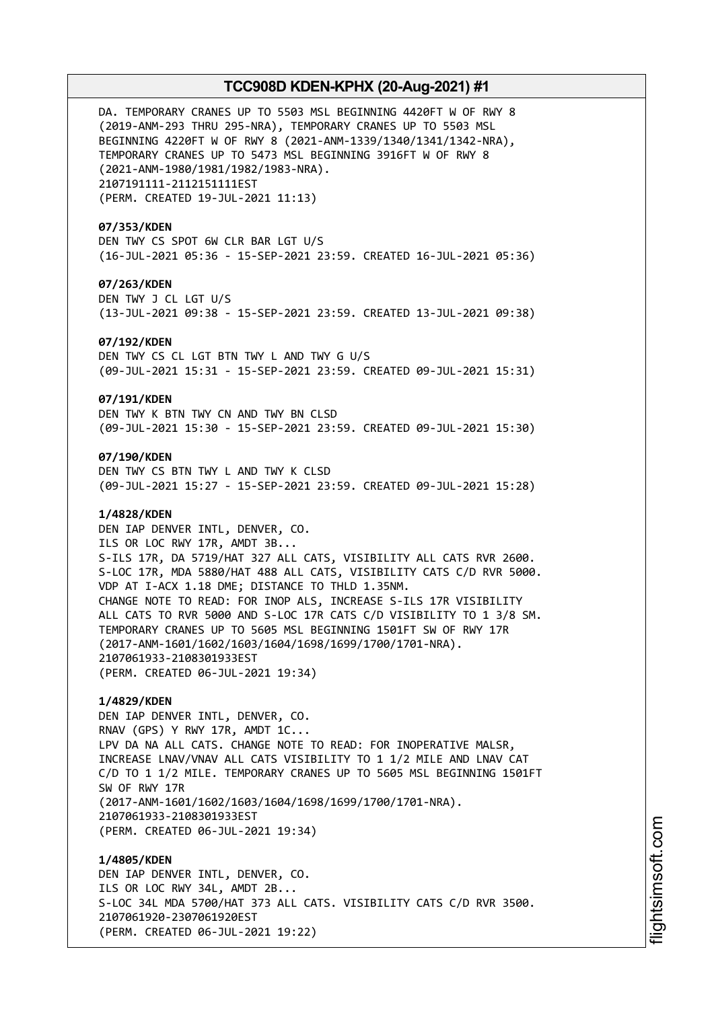DA. TEMPORARY CRANES UP TO 5503 MSL BEGINNING 4420FT W OF RWY 8 (2019-ANM-293 THRU 295-NRA), TEMPORARY CRANES UP TO 5503 MSL BEGINNING 4220FT W OF RWY 8 (2021-ANM-1339/1340/1341/1342-NRA), TEMPORARY CRANES UP TO 5473 MSL BEGINNING 3916FT W OF RWY 8 (2021-ANM-1980/1981/1982/1983-NRA). 2107191111-2112151111EST (PERM. CREATED 19-JUL-2021 11:13)

### **07/353/KDEN**

DEN TWY CS SPOT 6W CLR BAR LGT U/S (16-JUL-2021 05:36 - 15-SEP-2021 23:59. CREATED 16-JUL-2021 05:36)

### **07/263/KDEN**

DEN TWY J CL LGT U/S (13-JUL-2021 09:38 - 15-SEP-2021 23:59. CREATED 13-JUL-2021 09:38)

#### **07/192/KDEN**

DEN TWY CS CL LGT BTN TWY L AND TWY G U/S (09-JUL-2021 15:31 - 15-SEP-2021 23:59. CREATED 09-JUL-2021 15:31)

#### **07/191/KDEN**

DEN TWY K BTN TWY CN AND TWY BN CLSD (09-JUL-2021 15:30 - 15-SEP-2021 23:59. CREATED 09-JUL-2021 15:30)

### **07/190/KDEN**

DEN TWY CS BTN TWY L AND TWY K CLSD (09-JUL-2021 15:27 - 15-SEP-2021 23:59. CREATED 09-JUL-2021 15:28)

### **1/4828/KDEN**

DEN IAP DENVER INTL, DENVER, CO. ILS OR LOC RWY 17R, AMDT 3B... S-ILS 17R, DA 5719/HAT 327 ALL CATS, VISIBILITY ALL CATS RVR 2600. S-LOC 17R, MDA 5880/HAT 488 ALL CATS, VISIBILITY CATS C/D RVR 5000. VDP AT I-ACX 1.18 DME; DISTANCE TO THLD 1.35NM. CHANGE NOTE TO READ: FOR INOP ALS, INCREASE S-ILS 17R VISIBILITY ALL CATS TO RVR 5000 AND S-LOC 17R CATS C/D VISIBILITY TO 1 3/8 SM. TEMPORARY CRANES UP TO 5605 MSL BEGINNING 1501FT SW OF RWY 17R (2017-ANM-1601/1602/1603/1604/1698/1699/1700/1701-NRA). 2107061933-2108301933EST (PERM. CREATED 06-JUL-2021 19:34)

### **1/4829/KDEN**

DEN IAP DENVER INTL, DENVER, CO. RNAV (GPS) Y RWY 17R, AMDT 1C... LPV DA NA ALL CATS. CHANGE NOTE TO READ: FOR INOPERATIVE MALSR, INCREASE LNAV/VNAV ALL CATS VISIBILITY TO 1 1/2 MILE AND LNAV CAT C/D TO 1 1/2 MILE. TEMPORARY CRANES UP TO 5605 MSL BEGINNING 1501FT SW OF RWY 17R (2017-ANM-1601/1602/1603/1604/1698/1699/1700/1701-NRA). 2107061933-2108301933EST (PERM. CREATED 06-JUL-2021 19:34)

**1/4805/KDEN** DEN IAP DENVER INTL, DENVER, CO. ILS OR LOC RWY 34L, AMDT 2B... S-LOC 34L MDA 5700/HAT 373 ALL CATS. VISIBILITY CATS C/D RVR 3500. 2107061920-2307061920EST (PERM. CREATED 06-JUL-2021 19:22)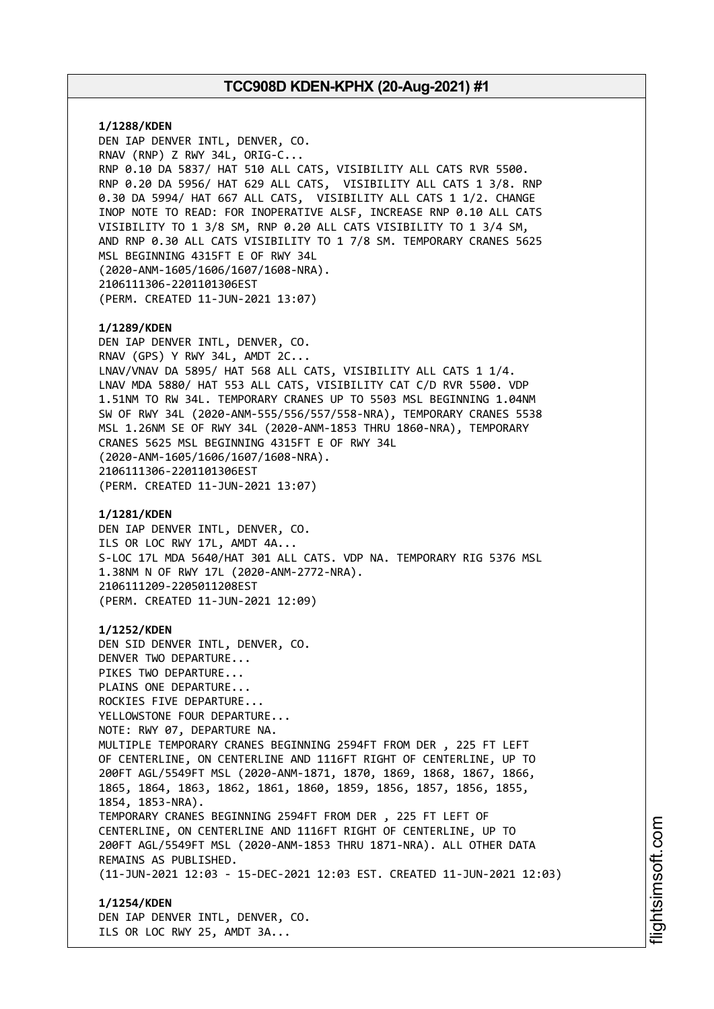**1/1288/KDEN** DEN IAP DENVER INTL, DENVER, CO. RNAV (RNP) Z RWY 34L, ORIG-C... RNP 0.10 DA 5837/ HAT 510 ALL CATS, VISIBILITY ALL CATS RVR 5500. RNP 0.20 DA 5956/ HAT 629 ALL CATS, VISIBILITY ALL CATS 1 3/8. RNP 0.30 DA 5994/ HAT 667 ALL CATS, VISIBILITY ALL CATS 1 1/2. CHANGE INOP NOTE TO READ: FOR INOPERATIVE ALSF, INCREASE RNP 0.10 ALL CATS VISIBILITY TO 1 3/8 SM, RNP 0.20 ALL CATS VISIBILITY TO 1 3/4 SM, AND RNP 0.30 ALL CATS VISIBILITY TO 1 7/8 SM. TEMPORARY CRANES 5625 MSL BEGINNING 4315FT E OF RWY 34L (2020-ANM-1605/1606/1607/1608-NRA). 2106111306-2201101306EST (PERM. CREATED 11-JUN-2021 13:07) **1/1289/KDEN** DEN IAP DENVER INTL, DENVER, CO. RNAV (GPS) Y RWY 34L, AMDT 2C... LNAV/VNAV DA 5895/ HAT 568 ALL CATS, VISIBILITY ALL CATS 1 1/4. LNAV MDA 5880/ HAT 553 ALL CATS, VISIBILITY CAT C/D RVR 5500. VDP 1.51NM TO RW 34L. TEMPORARY CRANES UP TO 5503 MSL BEGINNING 1.04NM SW OF RWY 34L (2020-ANM-555/556/557/558-NRA), TEMPORARY CRANES 5538 MSL 1.26NM SE OF RWY 34L (2020-ANM-1853 THRU 1860-NRA), TEMPORARY CRANES 5625 MSL BEGINNING 4315FT E OF RWY 34L (2020-ANM-1605/1606/1607/1608-NRA). 2106111306-2201101306EST (PERM. CREATED 11-JUN-2021 13:07) **1/1281/KDEN** DEN IAP DENVER INTL, DENVER, CO. ILS OR LOC RWY 17L, AMDT 4A... S-LOC 17L MDA 5640/HAT 301 ALL CATS. VDP NA. TEMPORARY RIG 5376 MSL 1.38NM N OF RWY 17L (2020-ANM-2772-NRA). 2106111209-2205011208EST (PERM. CREATED 11-JUN-2021 12:09) **1/1252/KDEN** DEN SID DENVER INTL, DENVER, CO. DENVER TWO DEPARTURE... PIKES TWO DEPARTURE... PLAINS ONE DEPARTURE... ROCKIES FIVE DEPARTURE... YELLOWSTONE FOUR DEPARTURE... NOTE: RWY 07, DEPARTURE NA. MULTIPLE TEMPORARY CRANES BEGINNING 2594FT FROM DER , 225 FT LEFT OF CENTERLINE, ON CENTERLINE AND 1116FT RIGHT OF CENTERLINE, UP TO 200FT AGL/5549FT MSL (2020-ANM-1871, 1870, 1869, 1868, 1867, 1866, 1865, 1864, 1863, 1862, 1861, 1860, 1859, 1856, 1857, 1856, 1855, 1854, 1853-NRA). TEMPORARY CRANES BEGINNING 2594FT FROM DER , 225 FT LEFT OF CENTERLINE, ON CENTERLINE AND 1116FT RIGHT OF CENTERLINE, UP TO 200FT AGL/5549FT MSL (2020-ANM-1853 THRU 1871-NRA). ALL OTHER DATA REMAINS AS PUBLISHED. (11-JUN-2021 12:03 - 15-DEC-2021 12:03 EST. CREATED 11-JUN-2021 12:03) **1/1254/KDEN** DEN IAP DENVER INTL, DENVER, CO.

ILS OR LOC RWY 25, AMDT 3A...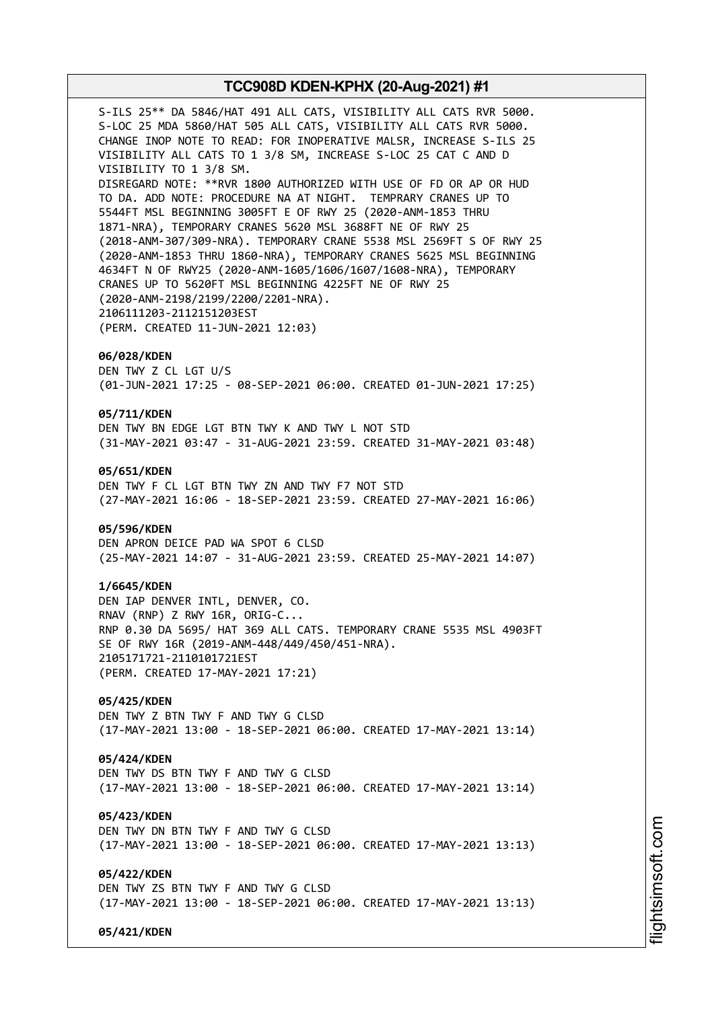S-ILS 25\*\* DA 5846/HAT 491 ALL CATS, VISIBILITY ALL CATS RVR 5000. S-LOC 25 MDA 5860/HAT 505 ALL CATS, VISIBILITY ALL CATS RVR 5000. CHANGE INOP NOTE TO READ: FOR INOPERATIVE MALSR, INCREASE S-ILS 25 VISIBILITY ALL CATS TO 1 3/8 SM, INCREASE S-LOC 25 CAT C AND D VISIBILITY TO 1 3/8 SM. DISREGARD NOTE: \*\*RVR 1800 AUTHORIZED WITH USE OF FD OR AP OR HUD TO DA. ADD NOTE: PROCEDURE NA AT NIGHT. TEMPRARY CRANES UP TO 5544FT MSL BEGINNING 3005FT E OF RWY 25 (2020-ANM-1853 THRU 1871-NRA), TEMPORARY CRANES 5620 MSL 3688FT NE OF RWY 25 (2018-ANM-307/309-NRA). TEMPORARY CRANE 5538 MSL 2569FT S OF RWY 25 (2020-ANM-1853 THRU 1860-NRA), TEMPORARY CRANES 5625 MSL BEGINNING 4634FT N OF RWY25 (2020-ANM-1605/1606/1607/1608-NRA), TEMPORARY CRANES UP TO 5620FT MSL BEGINNING 4225FT NE OF RWY 25 (2020-ANM-2198/2199/2200/2201-NRA). 2106111203-2112151203EST (PERM. CREATED 11-JUN-2021 12:03) **06/028/KDEN** DEN TWY Z CL LGT U/S (01-JUN-2021 17:25 - 08-SEP-2021 06:00. CREATED 01-JUN-2021 17:25) **05/711/KDEN** DEN TWY BN EDGE LGT BTN TWY K AND TWY L NOT STD (31-MAY-2021 03:47 - 31-AUG-2021 23:59. CREATED 31-MAY-2021 03:48) **05/651/KDEN** DEN TWY F CL LGT BTN TWY ZN AND TWY F7 NOT STD (27-MAY-2021 16:06 - 18-SEP-2021 23:59. CREATED 27-MAY-2021 16:06) **05/596/KDEN** DEN APRON DEICE PAD WA SPOT 6 CLSD (25-MAY-2021 14:07 - 31-AUG-2021 23:59. CREATED 25-MAY-2021 14:07) **1/6645/KDEN**

DEN IAP DENVER INTL, DENVER, CO. RNAV (RNP) Z RWY 16R, ORIG-C... RNP 0.30 DA 5695/ HAT 369 ALL CATS. TEMPORARY CRANE 5535 MSL 4903FT SE OF RWY 16R (2019-ANM-448/449/450/451-NRA). 2105171721-2110101721EST (PERM. CREATED 17-MAY-2021 17:21)

**05/425/KDEN** DEN TWY Z BTN TWY F AND TWY G CLSD (17-MAY-2021 13:00 - 18-SEP-2021 06:00. CREATED 17-MAY-2021 13:14)

### **05/424/KDEN**

DEN TWY DS BTN TWY F AND TWY G CLSD (17-MAY-2021 13:00 - 18-SEP-2021 06:00. CREATED 17-MAY-2021 13:14)

**05/423/KDEN** DEN TWY DN BTN TWY F AND TWY G CLSD (17-MAY-2021 13:00 - 18-SEP-2021 06:00. CREATED 17-MAY-2021 13:13)

**05/422/KDEN** DEN TWY ZS BTN TWY F AND TWY G CLSD (17-MAY-2021 13:00 - 18-SEP-2021 06:00. CREATED 17-MAY-2021 13:13)

**05/421/KDEN**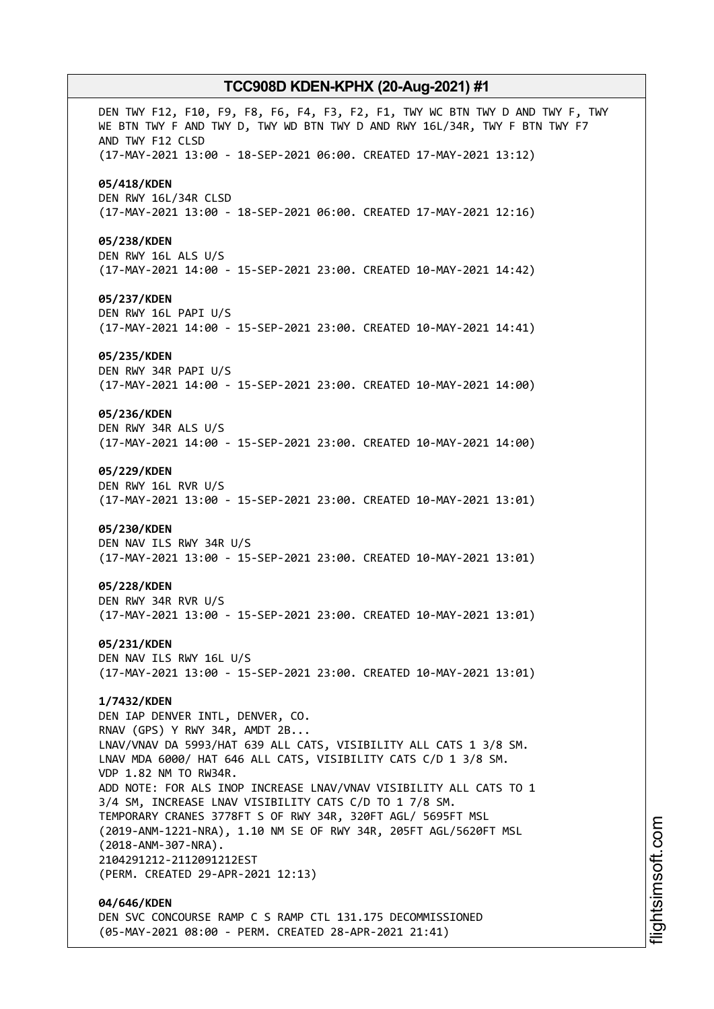DEN TWY F12, F10, F9, F8, F6, F4, F3, F2, F1, TWY WC BTN TWY D AND TWY F, TWY WE BTN TWY F AND TWY D, TWY WD BTN TWY D AND RWY 16L/34R, TWY F BTN TWY F7 AND TWY F12 CLSD (17-MAY-2021 13:00 - 18-SEP-2021 06:00. CREATED 17-MAY-2021 13:12) **05/418/KDEN** DEN RWY 16L/34R CLSD (17-MAY-2021 13:00 - 18-SEP-2021 06:00. CREATED 17-MAY-2021 12:16) **05/238/KDEN** DEN RWY 16L ALS U/S (17-MAY-2021 14:00 - 15-SEP-2021 23:00. CREATED 10-MAY-2021 14:42) **05/237/KDEN** DEN RWY 16L PAPI U/S (17-MAY-2021 14:00 - 15-SEP-2021 23:00. CREATED 10-MAY-2021 14:41) **05/235/KDEN** DEN RWY 34R PAPI U/S (17-MAY-2021 14:00 - 15-SEP-2021 23:00. CREATED 10-MAY-2021 14:00) **05/236/KDEN** DEN RWY 34R ALS U/S (17-MAY-2021 14:00 - 15-SEP-2021 23:00. CREATED 10-MAY-2021 14:00) **05/229/KDEN** DEN RWY 16L RVR U/S (17-MAY-2021 13:00 - 15-SEP-2021 23:00. CREATED 10-MAY-2021 13:01) **05/230/KDEN** DEN NAV ILS RWY 34R U/S (17-MAY-2021 13:00 - 15-SEP-2021 23:00. CREATED 10-MAY-2021 13:01) **05/228/KDEN** DEN RWY 34R RVR U/S (17-MAY-2021 13:00 - 15-SEP-2021 23:00. CREATED 10-MAY-2021 13:01) **05/231/KDEN** DEN NAV ILS RWY 16L U/S (17-MAY-2021 13:00 - 15-SEP-2021 23:00. CREATED 10-MAY-2021 13:01) **1/7432/KDEN** DEN IAP DENVER INTL, DENVER, CO. RNAV (GPS) Y RWY 34R, AMDT 2B... LNAV/VNAV DA 5993/HAT 639 ALL CATS, VISIBILITY ALL CATS 1 3/8 SM. LNAV MDA 6000/ HAT 646 ALL CATS, VISIBILITY CATS C/D 1 3/8 SM. VDP 1.82 NM TO RW34R. ADD NOTE: FOR ALS INOP INCREASE LNAV/VNAV VISIBILITY ALL CATS TO 1 3/4 SM, INCREASE LNAV VISIBILITY CATS C/D TO 1 7/8 SM. TEMPORARY CRANES 3778FT S OF RWY 34R, 320FT AGL/ 5695FT MSL (2019-ANM-1221-NRA), 1.10 NM SE OF RWY 34R, 205FT AGL/5620FT MSL (2018-ANM-307-NRA). 2104291212-2112091212EST (PERM. CREATED 29-APR-2021 12:13) **04/646/KDEN** DEN SVC CONCOURSE RAMP C S RAMP CTL 131.175 DECOMMISSIONED

(05-MAY-2021 08:00 - PERM. CREATED 28-APR-2021 21:41)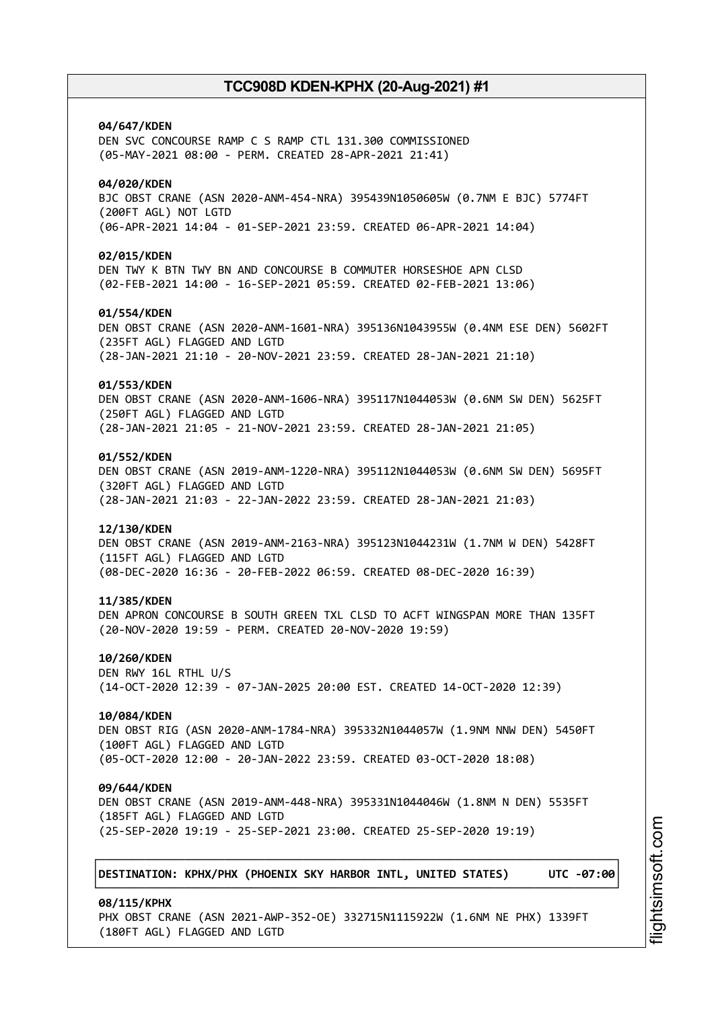**04/647/KDEN** DEN SVC CONCOURSE RAMP C S RAMP CTL 131.300 COMMISSIONED (05-MAY-2021 08:00 - PERM. CREATED 28-APR-2021 21:41) **04/020/KDEN** BJC OBST CRANE (ASN 2020-ANM-454-NRA) 395439N1050605W (0.7NM E BJC) 5774FT (200FT AGL) NOT LGTD (06-APR-2021 14:04 - 01-SEP-2021 23:59. CREATED 06-APR-2021 14:04) **02/015/KDEN** DEN TWY K BTN TWY BN AND CONCOURSE B COMMUTER HORSESHOE APN CLSD (02-FEB-2021 14:00 - 16-SEP-2021 05:59. CREATED 02-FEB-2021 13:06) **01/554/KDEN** DEN OBST CRANE (ASN 2020-ANM-1601-NRA) 395136N1043955W (0.4NM ESE DEN) 5602FT (235FT AGL) FLAGGED AND LGTD (28-JAN-2021 21:10 - 20-NOV-2021 23:59. CREATED 28-JAN-2021 21:10) **01/553/KDEN** DEN OBST CRANE (ASN 2020-ANM-1606-NRA) 395117N1044053W (0.6NM SW DEN) 5625FT (250FT AGL) FLAGGED AND LGTD (28-JAN-2021 21:05 - 21-NOV-2021 23:59. CREATED 28-JAN-2021 21:05) **01/552/KDEN** DEN OBST CRANE (ASN 2019-ANM-1220-NRA) 395112N1044053W (0.6NM SW DEN) 5695FT (320FT AGL) FLAGGED AND LGTD (28-JAN-2021 21:03 - 22-JAN-2022 23:59. CREATED 28-JAN-2021 21:03) **12/130/KDEN** DEN OBST CRANE (ASN 2019-ANM-2163-NRA) 395123N1044231W (1.7NM W DEN) 5428FT (115FT AGL) FLAGGED AND LGTD (08-DEC-2020 16:36 - 20-FEB-2022 06:59. CREATED 08-DEC-2020 16:39) **11/385/KDEN** DEN APRON CONCOURSE B SOUTH GREEN TXL CLSD TO ACFT WINGSPAN MORE THAN 135FT (20-NOV-2020 19:59 - PERM. CREATED 20-NOV-2020 19:59) **10/260/KDEN** DEN RWY 16L RTHL U/S (14-OCT-2020 12:39 - 07-JAN-2025 20:00 EST. CREATED 14-OCT-2020 12:39) **10/084/KDEN** DEN OBST RIG (ASN 2020-ANM-1784-NRA) 395332N1044057W (1.9NM NNW DEN) 5450FT (100FT AGL) FLAGGED AND LGTD (05-OCT-2020 12:00 - 20-JAN-2022 23:59. CREATED 03-OCT-2020 18:08) **09/644/KDEN** DEN OBST CRANE (ASN 2019-ANM-448-NRA) 395331N1044046W (1.8NM N DEN) 5535FT (185FT AGL) FLAGGED AND LGTD (25-SEP-2020 19:19 - 25-SEP-2021 23:00. CREATED 25-SEP-2020 19:19) ┌──────────────────────────────────────────────────────────────────────────────┐ │**DESTINATION: KPHX/PHX (PHOENIX SKY HARBOR INTL, UNITED STATES) UTC -07:00**│ └──────────────────────────────────────────────────────────────────────────────┘ **08/115/KPHX**

i⊒<br>⊫

htsim soft.c o

m

PHX OBST CRANE (ASN 2021-AWP-352-OE) 332715N1115922W (1.6NM NE PHX) 1339FT (180FT AGL) FLAGGED AND LGTD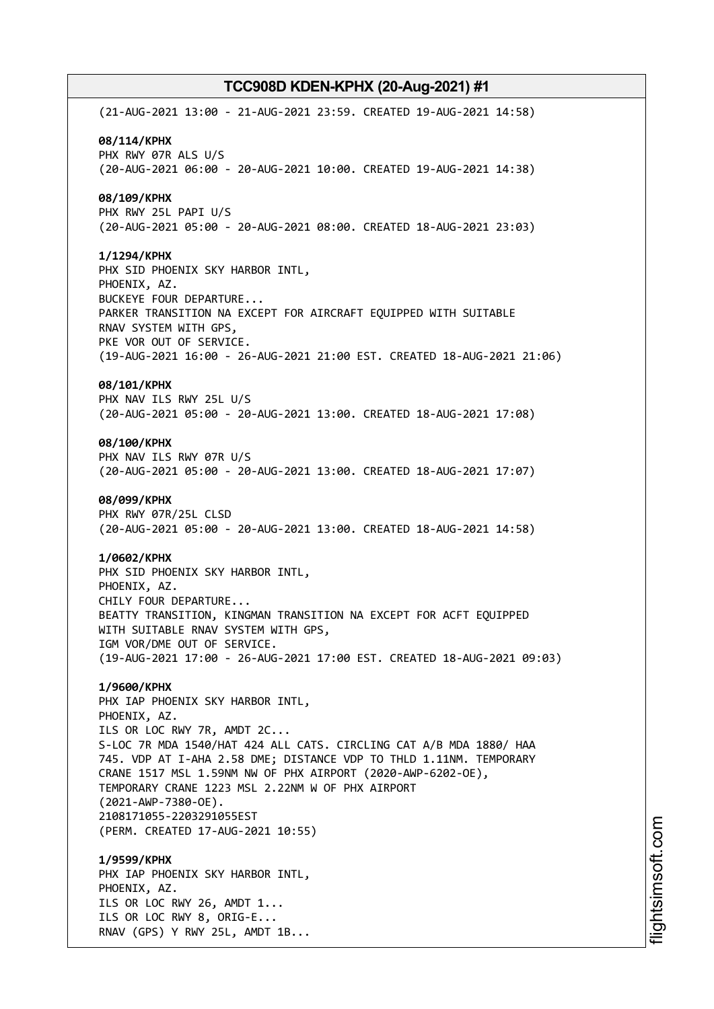(21-AUG-2021 13:00 - 21-AUG-2021 23:59. CREATED 19-AUG-2021 14:58) **08/114/KPHX** PHX RWY 07R ALS U/S (20-AUG-2021 06:00 - 20-AUG-2021 10:00. CREATED 19-AUG-2021 14:38) **08/109/KPHX** PHX RWY 25L PAPI U/S (20-AUG-2021 05:00 - 20-AUG-2021 08:00. CREATED 18-AUG-2021 23:03) **1/1294/KPHX** PHX SID PHOENIX SKY HARBOR INTL, PHOENIX, AZ. BUCKEYE FOUR DEPARTURE... PARKER TRANSITION NA EXCEPT FOR AIRCRAFT EQUIPPED WITH SUITABLE RNAV SYSTEM WITH GPS, PKE VOR OUT OF SERVICE. (19-AUG-2021 16:00 - 26-AUG-2021 21:00 EST. CREATED 18-AUG-2021 21:06) **08/101/KPHX** PHX NAV ILS RWY 25L U/S (20-AUG-2021 05:00 - 20-AUG-2021 13:00. CREATED 18-AUG-2021 17:08) **08/100/KPHX** PHX NAV ILS RWY 07R U/S (20-AUG-2021 05:00 - 20-AUG-2021 13:00. CREATED 18-AUG-2021 17:07) **08/099/KPHX** PHX RWY 07R/25L CLSD (20-AUG-2021 05:00 - 20-AUG-2021 13:00. CREATED 18-AUG-2021 14:58) **1/0602/KPHX** PHX SID PHOENIX SKY HARBOR INTL, PHOENIX, AZ. CHILY FOUR DEPARTURE... BEATTY TRANSITION, KINGMAN TRANSITION NA EXCEPT FOR ACFT EQUIPPED WITH SUITABLE RNAV SYSTEM WITH GPS, IGM VOR/DME OUT OF SERVICE. (19-AUG-2021 17:00 - 26-AUG-2021 17:00 EST. CREATED 18-AUG-2021 09:03) **1/9600/KPHX** PHX IAP PHOENIX SKY HARBOR INTL, PHOENIX, AZ. ILS OR LOC RWY 7R, AMDT 2C... S-LOC 7R MDA 1540/HAT 424 ALL CATS. CIRCLING CAT A/B MDA 1880/ HAA 745. VDP AT I-AHA 2.58 DME; DISTANCE VDP TO THLD 1.11NM. TEMPORARY CRANE 1517 MSL 1.59NM NW OF PHX AIRPORT (2020-AWP-6202-OE), TEMPORARY CRANE 1223 MSL 2.22NM W OF PHX AIRPORT (2021-AWP-7380-OE). 2108171055-2203291055EST (PERM. CREATED 17-AUG-2021 10:55) **1/9599/KPHX** PHX IAP PHOENIX SKY HARBOR INTL, PHOENIX, AZ. ILS OR LOC RWY 26, AMDT 1... ILS OR LOC RWY 8, ORIG-E... RNAV (GPS) Y RWY 25L, AMDT 1B...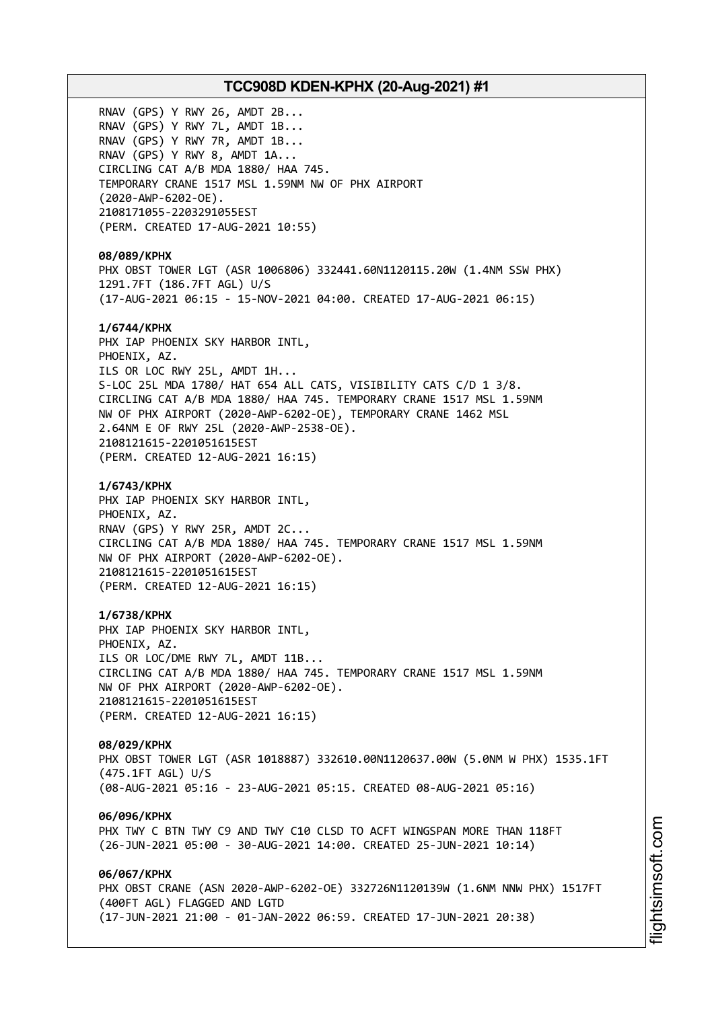RNAV (GPS) Y RWY 26, AMDT 2B... RNAV (GPS) Y RWY 7L, AMDT 1B... RNAV (GPS) Y RWY 7R, AMDT 1B... RNAV (GPS) Y RWY 8, AMDT 1A... CIRCLING CAT A/B MDA 1880/ HAA 745. TEMPORARY CRANE 1517 MSL 1.59NM NW OF PHX AIRPORT (2020-AWP-6202-OE). 2108171055-2203291055EST (PERM. CREATED 17-AUG-2021 10:55) **08/089/KPHX** PHX OBST TOWER LGT (ASR 1006806) 332441.60N1120115.20W (1.4NM SSW PHX) 1291.7FT (186.7FT AGL) U/S (17-AUG-2021 06:15 - 15-NOV-2021 04:00. CREATED 17-AUG-2021 06:15) **1/6744/KPHX** PHX IAP PHOENIX SKY HARBOR INTL, PHOENIX, AZ. ILS OR LOC RWY 25L, AMDT 1H... S-LOC 25L MDA 1780/ HAT 654 ALL CATS, VISIBILITY CATS C/D 1 3/8. CIRCLING CAT A/B MDA 1880/ HAA 745. TEMPORARY CRANE 1517 MSL 1.59NM NW OF PHX AIRPORT (2020-AWP-6202-OE), TEMPORARY CRANE 1462 MSL 2.64NM E OF RWY 25L (2020-AWP-2538-OE). 2108121615-2201051615EST (PERM. CREATED 12-AUG-2021 16:15) **1/6743/KPHX** PHX IAP PHOENIX SKY HARBOR INTL, PHOENIX, AZ. RNAV (GPS) Y RWY 25R, AMDT 2C... CIRCLING CAT A/B MDA 1880/ HAA 745. TEMPORARY CRANE 1517 MSL 1.59NM NW OF PHX AIRPORT (2020-AWP-6202-OE). 2108121615-2201051615EST (PERM. CREATED 12-AUG-2021 16:15) **1/6738/KPHX** PHX IAP PHOENIX SKY HARBOR INTL, PHOENIX, AZ. ILS OR LOC/DME RWY 7L, AMDT 11B... CIRCLING CAT A/B MDA 1880/ HAA 745. TEMPORARY CRANE 1517 MSL 1.59NM NW OF PHX AIRPORT (2020-AWP-6202-OE). 2108121615-2201051615EST (PERM. CREATED 12-AUG-2021 16:15) **08/029/KPHX** PHX OBST TOWER LGT (ASR 1018887) 332610.00N1120637.00W (5.0NM W PHX) 1535.1FT (475.1FT AGL) U/S (08-AUG-2021 05:16 - 23-AUG-2021 05:15. CREATED 08-AUG-2021 05:16) **06/096/KPHX** PHX TWY C BTN TWY C9 AND TWY C10 CLSD TO ACFT WINGSPAN MORE THAN 118FT (26-JUN-2021 05:00 - 30-AUG-2021 14:00. CREATED 25-JUN-2021 10:14) **06/067/KPHX** PHX OBST CRANE (ASN 2020-AWP-6202-OE) 332726N1120139W (1.6NM NNW PHX) 1517FT (400FT AGL) FLAGGED AND LGTD (17-JUN-2021 21:00 - 01-JAN-2022 06:59. CREATED 17-JUN-2021 20:38)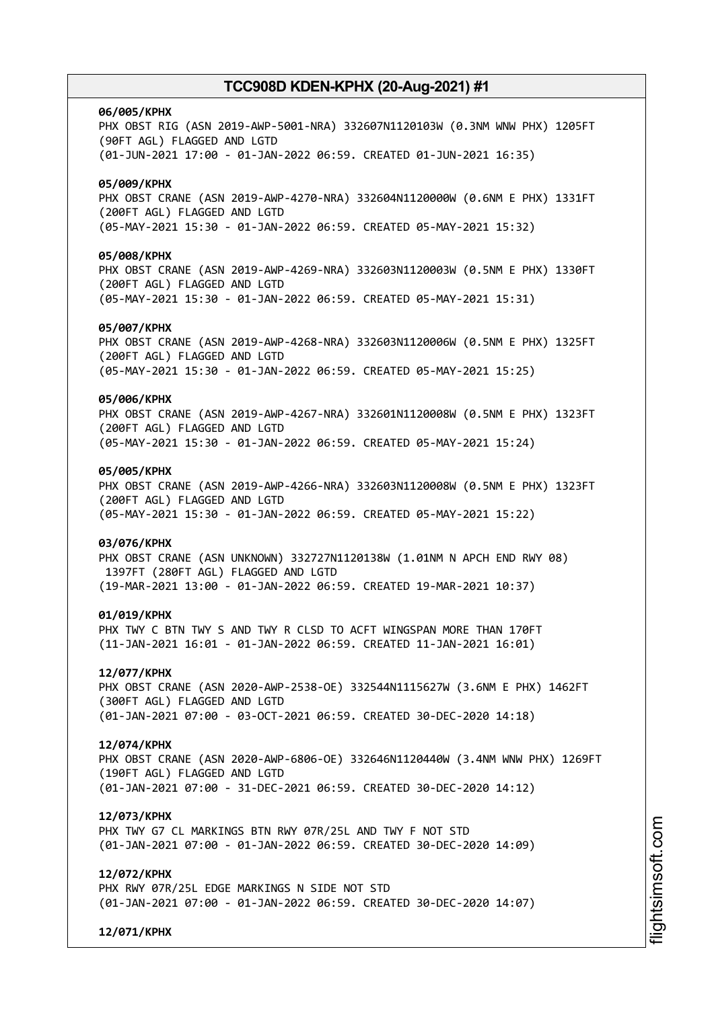# **06/005/KPHX** PHX OBST RIG (ASN 2019-AWP-5001-NRA) 332607N1120103W (0.3NM WNW PHX) 1205FT (90FT AGL) FLAGGED AND LGTD (01-JUN-2021 17:00 - 01-JAN-2022 06:59. CREATED 01-JUN-2021 16:35) **05/009/KPHX** PHX OBST CRANE (ASN 2019-AWP-4270-NRA) 332604N1120000W (0.6NM E PHX) 1331FT (200FT AGL) FLAGGED AND LGTD (05-MAY-2021 15:30 - 01-JAN-2022 06:59. CREATED 05-MAY-2021 15:32) **05/008/KPHX** PHX OBST CRANE (ASN 2019-AWP-4269-NRA) 332603N1120003W (0.5NM E PHX) 1330FT (200FT AGL) FLAGGED AND LGTD (05-MAY-2021 15:30 - 01-JAN-2022 06:59. CREATED 05-MAY-2021 15:31) **05/007/KPHX** PHX OBST CRANE (ASN 2019-AWP-4268-NRA) 332603N1120006W (0.5NM E PHX) 1325FT (200FT AGL) FLAGGED AND LGTD (05-MAY-2021 15:30 - 01-JAN-2022 06:59. CREATED 05-MAY-2021 15:25) **05/006/KPHX** PHX OBST CRANE (ASN 2019-AWP-4267-NRA) 332601N1120008W (0.5NM E PHX) 1323FT (200FT AGL) FLAGGED AND LGTD (05-MAY-2021 15:30 - 01-JAN-2022 06:59. CREATED 05-MAY-2021 15:24) **05/005/KPHX** PHX OBST CRANE (ASN 2019-AWP-4266-NRA) 332603N1120008W (0.5NM E PHX) 1323FT (200FT AGL) FLAGGED AND LGTD (05-MAY-2021 15:30 - 01-JAN-2022 06:59. CREATED 05-MAY-2021 15:22) **03/076/KPHX** PHX OBST CRANE (ASN UNKNOWN) 332727N1120138W (1.01NM N APCH END RWY 08) 1397FT (280FT AGL) FLAGGED AND LGTD (19-MAR-2021 13:00 - 01-JAN-2022 06:59. CREATED 19-MAR-2021 10:37) **01/019/KPHX** PHX TWY C BTN TWY S AND TWY R CLSD TO ACFT WINGSPAN MORE THAN 170FT (11-JAN-2021 16:01 - 01-JAN-2022 06:59. CREATED 11-JAN-2021 16:01) **12/077/KPHX** PHX OBST CRANE (ASN 2020-AWP-2538-OE) 332544N1115627W (3.6NM E PHX) 1462FT (300FT AGL) FLAGGED AND LGTD (01-JAN-2021 07:00 - 03-OCT-2021 06:59. CREATED 30-DEC-2020 14:18) **12/074/KPHX** PHX OBST CRANE (ASN 2020-AWP-6806-OE) 332646N1120440W (3.4NM WNW PHX) 1269FT (190FT AGL) FLAGGED AND LGTD (01-JAN-2021 07:00 - 31-DEC-2021 06:59. CREATED 30-DEC-2020 14:12) **12/073/KPHX** PHX TWY G7 CL MARKINGS BTN RWY 07R/25L AND TWY F NOT STD (01-JAN-2021 07:00 - 01-JAN-2022 06:59. CREATED 30-DEC-2020 14:09) **12/072/KPHX** PHX RWY 07R/25L EDGE MARKINGS N SIDE NOT STD (01-JAN-2021 07:00 - 01-JAN-2022 06:59. CREATED 30-DEC-2020 14:07)

**12/071/KPHX**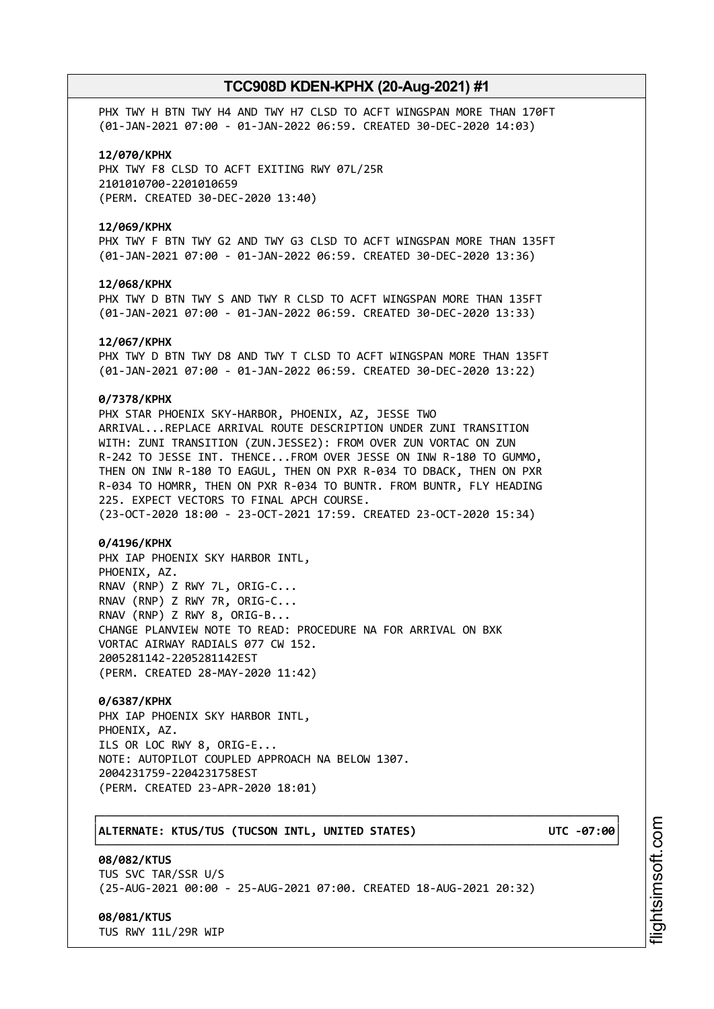PHX TWY H BTN TWY H4 AND TWY H7 CLSD TO ACFT WINGSPAN MORE THAN 170FT (01-JAN-2021 07:00 - 01-JAN-2022 06:59. CREATED 30-DEC-2020 14:03)

#### **12/070/KPHX**

PHX TWY F8 CLSD TO ACFT EXITING RWY 07L/25R 2101010700-2201010659 (PERM. CREATED 30-DEC-2020 13:40)

#### **12/069/KPHX**

PHX TWY F BTN TWY G2 AND TWY G3 CLSD TO ACFT WINGSPAN MORE THAN 135FT (01-JAN-2021 07:00 - 01-JAN-2022 06:59. CREATED 30-DEC-2020 13:36)

#### **12/068/KPHX**

PHX TWY D BTN TWY S AND TWY R CLSD TO ACFT WINGSPAN MORE THAN 135FT (01-JAN-2021 07:00 - 01-JAN-2022 06:59. CREATED 30-DEC-2020 13:33)

#### **12/067/KPHX**

PHX TWY D BTN TWY D8 AND TWY T CLSD TO ACFT WINGSPAN MORE THAN 135FT (01-JAN-2021 07:00 - 01-JAN-2022 06:59. CREATED 30-DEC-2020 13:22)

### **0/7378/KPHX**

PHX STAR PHOENIX SKY-HARBOR, PHOENIX, AZ, JESSE TWO ARRIVAL...REPLACE ARRIVAL ROUTE DESCRIPTION UNDER ZUNI TRANSITION WITH: ZUNI TRANSITION (ZUN.JESSE2): FROM OVER ZUN VORTAC ON ZUN R-242 TO JESSE INT. THENCE...FROM OVER JESSE ON INW R-180 TO GUMMO, THEN ON INW R-180 TO EAGUL, THEN ON PXR R-034 TO DBACK, THEN ON PXR R-034 TO HOMRR, THEN ON PXR R-034 TO BUNTR. FROM BUNTR, FLY HEADING 225. EXPECT VECTORS TO FINAL APCH COURSE. (23-OCT-2020 18:00 - 23-OCT-2021 17:59. CREATED 23-OCT-2020 15:34)

#### **0/4196/KPHX**

PHX IAP PHOENIX SKY HARBOR INTL, PHOENIX, AZ. RNAV (RNP) Z RWY 7L, ORIG-C... RNAV (RNP) Z RWY 7R, ORIG-C... RNAV (RNP) Z RWY 8, ORIG-B... CHANGE PLANVIEW NOTE TO READ: PROCEDURE NA FOR ARRIVAL ON BXK VORTAC AIRWAY RADIALS 077 CW 152. 2005281142-2205281142EST (PERM. CREATED 28-MAY-2020 11:42)

### **0/6387/KPHX**

PHX IAP PHOENIX SKY HARBOR INTL, PHOENIX, AZ. ILS OR LOC RWY 8, ORIG-E... NOTE: AUTOPILOT COUPLED APPROACH NA BELOW 1307. 2004231759-2204231758EST (PERM. CREATED 23-APR-2020 18:01)

### │**ALTERNATE: KTUS/TUS (TUCSON INTL, UNITED STATES) UTC -07:00**│

**08/082/KTUS** TUS SVC TAR/SSR U/S (25-AUG-2021 00:00 - 25-AUG-2021 07:00. CREATED 18-AUG-2021 20:32)

┌──────────────────────────────────────────────────────────────────────────────┐

└──────────────────────────────────────────────────────────────────────────────┘

### **08/081/KTUS**

TUS RWY 11L/29R WIP

i⊒<br>⊫ htsim soft.c o

m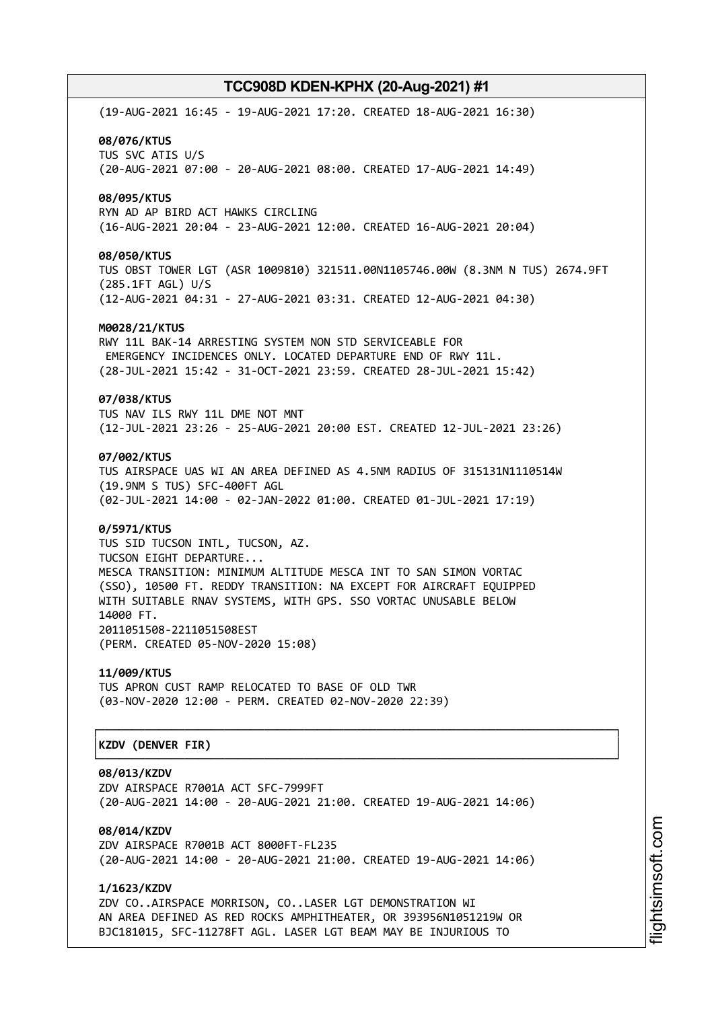(19-AUG-2021 16:45 - 19-AUG-2021 17:20. CREATED 18-AUG-2021 16:30) **08/076/KTUS** TUS SVC ATIS U/S (20-AUG-2021 07:00 - 20-AUG-2021 08:00. CREATED 17-AUG-2021 14:49) **08/095/KTUS** RYN AD AP BIRD ACT HAWKS CIRCLING (16-AUG-2021 20:04 - 23-AUG-2021 12:00. CREATED 16-AUG-2021 20:04) **08/050/KTUS** TUS OBST TOWER LGT (ASR 1009810) 321511.00N1105746.00W (8.3NM N TUS) 2674.9FT (285.1FT AGL) U/S (12-AUG-2021 04:31 - 27-AUG-2021 03:31. CREATED 12-AUG-2021 04:30) **M0028/21/KTUS** RWY 11L BAK-14 ARRESTING SYSTEM NON STD SERVICEABLE FOR EMERGENCY INCIDENCES ONLY. LOCATED DEPARTURE END OF RWY 11L. (28-JUL-2021 15:42 - 31-OCT-2021 23:59. CREATED 28-JUL-2021 15:42) **07/038/KTUS** TUS NAV ILS RWY 11L DME NOT MNT (12-JUL-2021 23:26 - 25-AUG-2021 20:00 EST. CREATED 12-JUL-2021 23:26) **07/002/KTUS** TUS AIRSPACE UAS WI AN AREA DEFINED AS 4.5NM RADIUS OF 315131N1110514W (19.9NM S TUS) SFC-400FT AGL (02-JUL-2021 14:00 - 02-JAN-2022 01:00. CREATED 01-JUL-2021 17:19) **0/5971/KTUS** TUS SID TUCSON INTL, TUCSON, AZ. TUCSON EIGHT DEPARTURE... MESCA TRANSITION: MINIMUM ALTITUDE MESCA INT TO SAN SIMON VORTAC (SSO), 10500 FT. REDDY TRANSITION: NA EXCEPT FOR AIRCRAFT EQUIPPED WITH SUITABLE RNAV SYSTEMS, WITH GPS. SSO VORTAC UNUSABLE BELOW 14000 FT. 2011051508-2211051508EST (PERM. CREATED 05-NOV-2020 15:08) **11/009/KTUS** TUS APRON CUST RAMP RELOCATED TO BASE OF OLD TWR (03-NOV-2020 12:00 - PERM. CREATED 02-NOV-2020 22:39) ┌──────────────────────────────────────────────────────────────────────────────┐ │**KZDV (DENVER FIR)** │ └──────────────────────────────────────────────────────────────────────────────┘ **08/013/KZDV** ZDV AIRSPACE R7001A ACT SFC-7999FT (20-AUG-2021 14:00 - 20-AUG-2021 21:00. CREATED 19-AUG-2021 14:06)

**08/014/KZDV** ZDV AIRSPACE R7001B ACT 8000FT-FL235 (20-AUG-2021 14:00 - 20-AUG-2021 21:00. CREATED 19-AUG-2021 14:06)

**1/1623/KZDV** ZDV CO..AIRSPACE MORRISON, CO..LASER LGT DEMONSTRATION WI AN AREA DEFINED AS RED ROCKS AMPHITHEATER, OR 393956N1051219W OR BJC181015, SFC-11278FT AGL. LASER LGT BEAM MAY BE INJURIOUS TO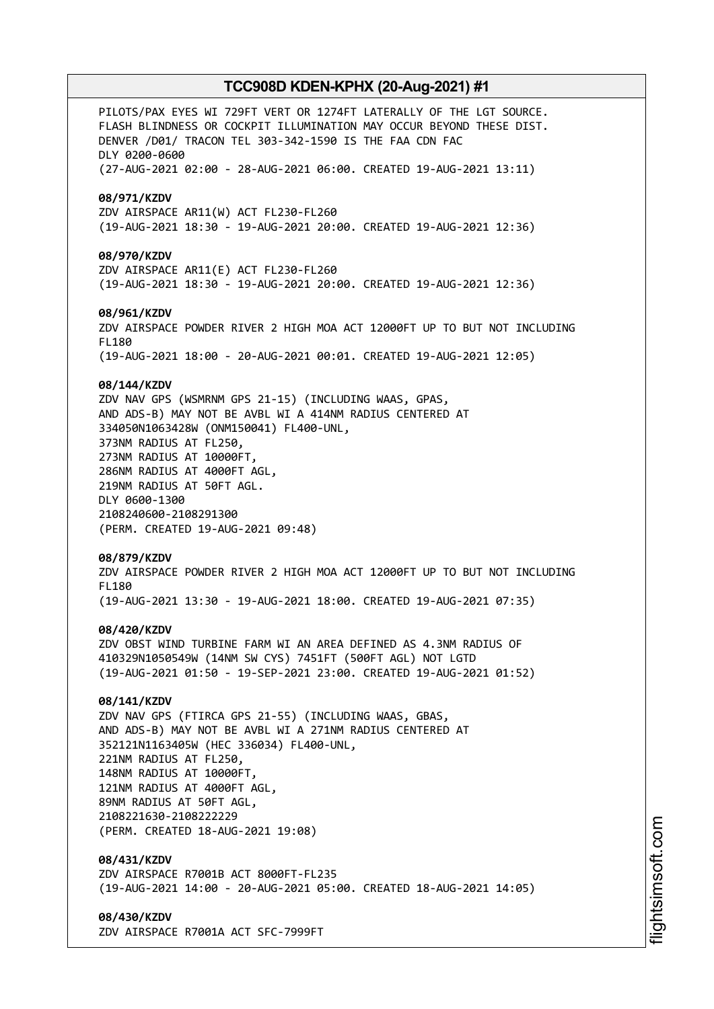PILOTS/PAX EYES WI 729FT VERT OR 1274FT LATERALLY OF THE LGT SOURCE. FLASH BLINDNESS OR COCKPIT ILLUMINATION MAY OCCUR BEYOND THESE DIST. DENVER /D01/ TRACON TEL 303-342-1590 IS THE FAA CDN FAC DLY 0200-0600 (27-AUG-2021 02:00 - 28-AUG-2021 06:00. CREATED 19-AUG-2021 13:11) **08/971/KZDV** ZDV AIRSPACE AR11(W) ACT FL230-FL260 (19-AUG-2021 18:30 - 19-AUG-2021 20:00. CREATED 19-AUG-2021 12:36) **08/970/KZDV** ZDV AIRSPACE AR11(E) ACT FL230-FL260 (19-AUG-2021 18:30 - 19-AUG-2021 20:00. CREATED 19-AUG-2021 12:36) **08/961/KZDV** ZDV AIRSPACE POWDER RIVER 2 HIGH MOA ACT 12000FT UP TO BUT NOT INCLUDING FL180 (19-AUG-2021 18:00 - 20-AUG-2021 00:01. CREATED 19-AUG-2021 12:05) **08/144/KZDV** ZDV NAV GPS (WSMRNM GPS 21-15) (INCLUDING WAAS, GPAS, AND ADS-B) MAY NOT BE AVBL WI A 414NM RADIUS CENTERED AT 334050N1063428W (ONM150041) FL400-UNL, 373NM RADIUS AT FL250, 273NM RADIUS AT 10000FT, 286NM RADIUS AT 4000FT AGL, 219NM RADIUS AT 50FT AGL. DLY 0600-1300 2108240600-2108291300 (PERM. CREATED 19-AUG-2021 09:48) **08/879/KZDV** ZDV AIRSPACE POWDER RIVER 2 HIGH MOA ACT 12000FT UP TO BUT NOT INCLUDING FL180 (19-AUG-2021 13:30 - 19-AUG-2021 18:00. CREATED 19-AUG-2021 07:35) **08/420/KZDV** ZDV OBST WIND TURBINE FARM WI AN AREA DEFINED AS 4.3NM RADIUS OF 410329N1050549W (14NM SW CYS) 7451FT (500FT AGL) NOT LGTD (19-AUG-2021 01:50 - 19-SEP-2021 23:00. CREATED 19-AUG-2021 01:52) **08/141/KZDV** ZDV NAV GPS (FTIRCA GPS 21-55) (INCLUDING WAAS, GBAS, AND ADS-B) MAY NOT BE AVBL WI A 271NM RADIUS CENTERED AT 352121N1163405W (HEC 336034) FL400-UNL, 221NM RADIUS AT FL250, 148NM RADIUS AT 10000FT, 121NM RADIUS AT 4000FT AGL, 89NM RADIUS AT 50FT AGL, 2108221630-2108222229 (PERM. CREATED 18-AUG-2021 19:08) **08/431/KZDV** ZDV AIRSPACE R7001B ACT 8000FT-FL235 (19-AUG-2021 14:00 - 20-AUG-2021 05:00. CREATED 18-AUG-2021 14:05) **08/430/KZDV**

ZDV AIRSPACE R7001A ACT SFC-7999FT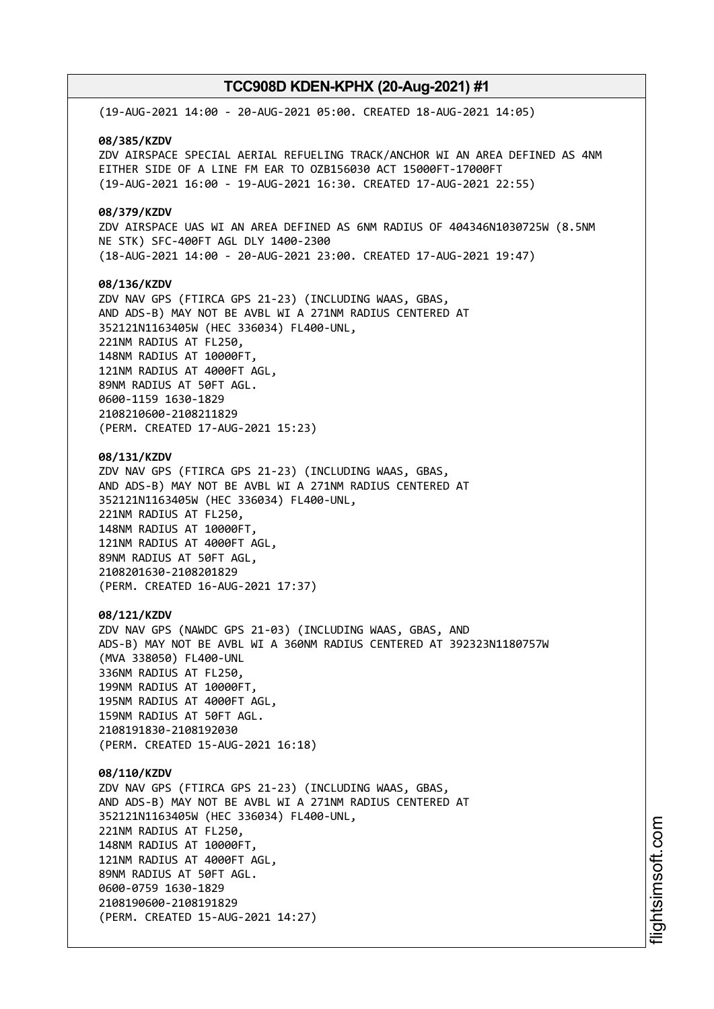(19-AUG-2021 14:00 - 20-AUG-2021 05:00. CREATED 18-AUG-2021 14:05) **08/385/KZDV** ZDV AIRSPACE SPECIAL AERIAL REFUELING TRACK/ANCHOR WI AN AREA DEFINED AS 4NM EITHER SIDE OF A LINE FM EAR TO OZB156030 ACT 15000FT-17000FT (19-AUG-2021 16:00 - 19-AUG-2021 16:30. CREATED 17-AUG-2021 22:55) **08/379/KZDV** ZDV AIRSPACE UAS WI AN AREA DEFINED AS 6NM RADIUS OF 404346N1030725W (8.5NM NE STK) SFC-400FT AGL DLY 1400-2300 (18-AUG-2021 14:00 - 20-AUG-2021 23:00. CREATED 17-AUG-2021 19:47) **08/136/KZDV** ZDV NAV GPS (FTIRCA GPS 21-23) (INCLUDING WAAS, GBAS, AND ADS-B) MAY NOT BE AVBL WI A 271NM RADIUS CENTERED AT 352121N1163405W (HEC 336034) FL400-UNL, 221NM RADIUS AT FL250, 148NM RADIUS AT 10000FT, 121NM RADIUS AT 4000FT AGL, 89NM RADIUS AT 50FT AGL. 0600-1159 1630-1829 2108210600-2108211829 (PERM. CREATED 17-AUG-2021 15:23) **08/131/KZDV** ZDV NAV GPS (FTIRCA GPS 21-23) (INCLUDING WAAS, GBAS, AND ADS-B) MAY NOT BE AVBL WI A 271NM RADIUS CENTERED AT 352121N1163405W (HEC 336034) FL400-UNL, 221NM RADIUS AT FL250, 148NM RADIUS AT 10000FT, 121NM RADIUS AT 4000FT AGL, 89NM RADIUS AT 50FT AGL, 2108201630-2108201829 (PERM. CREATED 16-AUG-2021 17:37) **08/121/KZDV** ZDV NAV GPS (NAWDC GPS 21-03) (INCLUDING WAAS, GBAS, AND ADS-B) MAY NOT BE AVBL WI A 360NM RADIUS CENTERED AT 392323N1180757W (MVA 338050) FL400-UNL 336NM RADIUS AT FL250, 199NM RADIUS AT 10000FT, 195NM RADIUS AT 4000FT AGL, 159NM RADIUS AT 50FT AGL. 2108191830-2108192030 (PERM. CREATED 15-AUG-2021 16:18) **08/110/KZDV** ZDV NAV GPS (FTIRCA GPS 21-23) (INCLUDING WAAS, GBAS, AND ADS-B) MAY NOT BE AVBL WI A 271NM RADIUS CENTERED AT 352121N1163405W (HEC 336034) FL400-UNL, 221NM RADIUS AT FL250, 148NM RADIUS AT 10000FT, 121NM RADIUS AT 4000FT AGL, 89NM RADIUS AT 50FT AGL. 0600-0759 1630-1829 2108190600-2108191829 (PERM. CREATED 15-AUG-2021 14:27)

i⊒<br>⊫ htsim soft.c o

m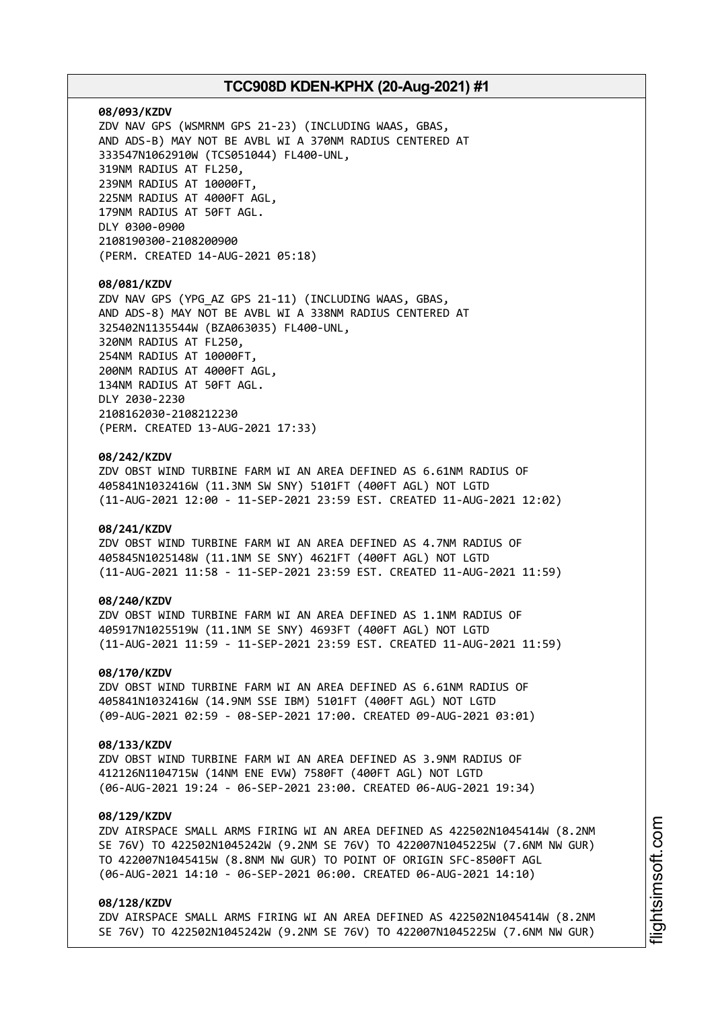### **08/093/KZDV**

ZDV NAV GPS (WSMRNM GPS 21-23) (INCLUDING WAAS, GBAS, AND ADS-B) MAY NOT BE AVBL WI A 370NM RADIUS CENTERED AT 333547N1062910W (TCS051044) FL400-UNL, 319NM RADIUS AT FL250, 239NM RADIUS AT 10000FT, 225NM RADIUS AT 4000FT AGL, 179NM RADIUS AT 50FT AGL. DLY 0300-0900 2108190300-2108200900 (PERM. CREATED 14-AUG-2021 05:18)

#### **08/081/KZDV**

ZDV NAV GPS (YPG\_AZ GPS 21-11) (INCLUDING WAAS, GBAS, AND ADS-8) MAY NOT BE AVBL WI A 338NM RADIUS CENTERED AT 325402N1135544W (BZA063035) FL400-UNL, 320NM RADIUS AT FL250, 254NM RADIUS AT 10000FT, 200NM RADIUS AT 4000FT AGL, 134NM RADIUS AT 50FT AGL. DLY 2030-2230 2108162030-2108212230 (PERM. CREATED 13-AUG-2021 17:33)

### **08/242/KZDV**

ZDV OBST WIND TURBINE FARM WI AN AREA DEFINED AS 6.61NM RADIUS OF 405841N1032416W (11.3NM SW SNY) 5101FT (400FT AGL) NOT LGTD (11-AUG-2021 12:00 - 11-SEP-2021 23:59 EST. CREATED 11-AUG-2021 12:02)

### **08/241/KZDV**

ZDV OBST WIND TURBINE FARM WI AN AREA DEFINED AS 4.7NM RADIUS OF 405845N1025148W (11.1NM SE SNY) 4621FT (400FT AGL) NOT LGTD (11-AUG-2021 11:58 - 11-SEP-2021 23:59 EST. CREATED 11-AUG-2021 11:59)

### **08/240/KZDV**

ZDV OBST WIND TURBINE FARM WI AN AREA DEFINED AS 1.1NM RADIUS OF 405917N1025519W (11.1NM SE SNY) 4693FT (400FT AGL) NOT LGTD (11-AUG-2021 11:59 - 11-SEP-2021 23:59 EST. CREATED 11-AUG-2021 11:59)

#### **08/170/KZDV**

ZDV OBST WIND TURBINE FARM WI AN AREA DEFINED AS 6.61NM RADIUS OF 405841N1032416W (14.9NM SSE IBM) 5101FT (400FT AGL) NOT LGTD (09-AUG-2021 02:59 - 08-SEP-2021 17:00. CREATED 09-AUG-2021 03:01)

#### **08/133/KZDV**

ZDV OBST WIND TURBINE FARM WI AN AREA DEFINED AS 3.9NM RADIUS OF 412126N1104715W (14NM ENE EVW) 7580FT (400FT AGL) NOT LGTD (06-AUG-2021 19:24 - 06-SEP-2021 23:00. CREATED 06-AUG-2021 19:34)

### **08/129/KZDV**

ZDV AIRSPACE SMALL ARMS FIRING WI AN AREA DEFINED AS 422502N1045414W (8.2NM SE 76V) TO 422502N1045242W (9.2NM SE 76V) TO 422007N1045225W (7.6NM NW GUR) TO 422007N1045415W (8.8NM NW GUR) TO POINT OF ORIGIN SFC-8500FT AGL (06-AUG-2021 14:10 - 06-SEP-2021 06:00. CREATED 06-AUG-2021 14:10)

### **08/128/KZDV**

ZDV AIRSPACE SMALL ARMS FIRING WI AN AREA DEFINED AS 422502N1045414W (8.2NM SE 76V) TO 422502N1045242W (9.2NM SE 76V) TO 422007N1045225W (7.6NM NW GUR)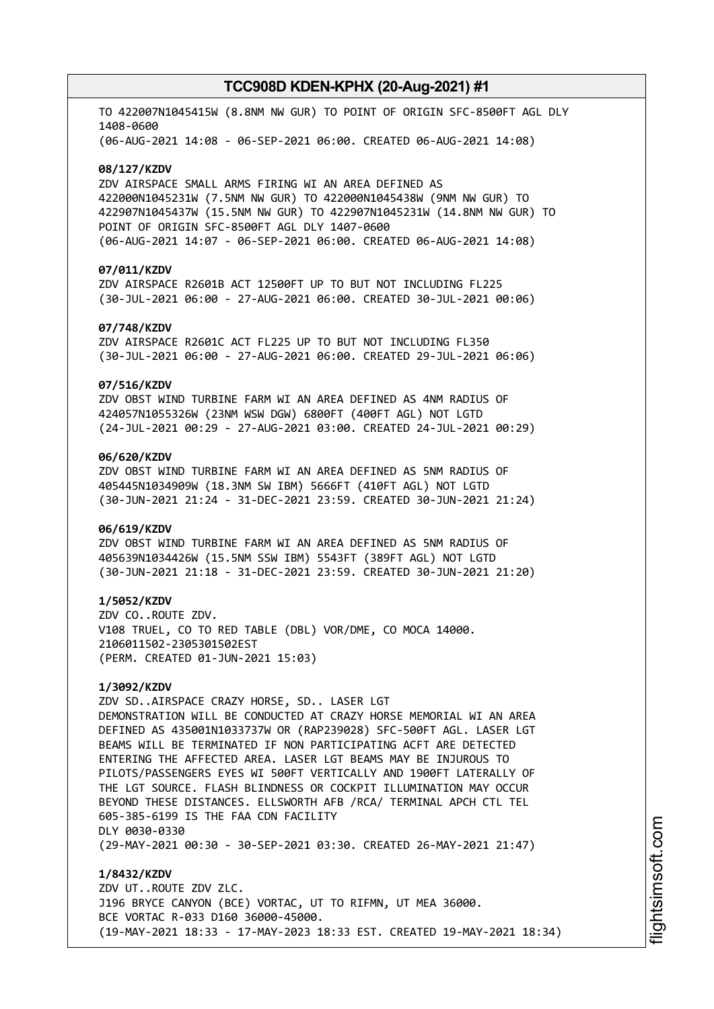TO 422007N1045415W (8.8NM NW GUR) TO POINT OF ORIGIN SFC-8500FT AGL DLY 1408-0600 (06-AUG-2021 14:08 - 06-SEP-2021 06:00. CREATED 06-AUG-2021 14:08)

#### **08/127/KZDV**

ZDV AIRSPACE SMALL ARMS FIRING WI AN AREA DEFINED AS 422000N1045231W (7.5NM NW GUR) TO 422000N1045438W (9NM NW GUR) TO 422907N1045437W (15.5NM NW GUR) TO 422907N1045231W (14.8NM NW GUR) TO POINT OF ORIGIN SFC-8500FT AGL DLY 1407-0600 (06-AUG-2021 14:07 - 06-SEP-2021 06:00. CREATED 06-AUG-2021 14:08)

#### **07/011/KZDV**

ZDV AIRSPACE R2601B ACT 12500FT UP TO BUT NOT INCLUDING FL225 (30-JUL-2021 06:00 - 27-AUG-2021 06:00. CREATED 30-JUL-2021 00:06)

#### **07/748/KZDV**

ZDV AIRSPACE R2601C ACT FL225 UP TO BUT NOT INCLUDING FL350 (30-JUL-2021 06:00 - 27-AUG-2021 06:00. CREATED 29-JUL-2021 06:06)

### **07/516/KZDV**

ZDV OBST WIND TURBINE FARM WI AN AREA DEFINED AS 4NM RADIUS OF 424057N1055326W (23NM WSW DGW) 6800FT (400FT AGL) NOT LGTD (24-JUL-2021 00:29 - 27-AUG-2021 03:00. CREATED 24-JUL-2021 00:29)

### **06/620/KZDV**

ZDV OBST WIND TURBINE FARM WI AN AREA DEFINED AS 5NM RADIUS OF 405445N1034909W (18.3NM SW IBM) 5666FT (410FT AGL) NOT LGTD (30-JUN-2021 21:24 - 31-DEC-2021 23:59. CREATED 30-JUN-2021 21:24)

### **06/619/KZDV**

ZDV OBST WIND TURBINE FARM WI AN AREA DEFINED AS 5NM RADIUS OF 405639N1034426W (15.5NM SSW IBM) 5543FT (389FT AGL) NOT LGTD (30-JUN-2021 21:18 - 31-DEC-2021 23:59. CREATED 30-JUN-2021 21:20)

#### **1/5052/KZDV**

ZDV CO..ROUTE ZDV. V108 TRUEL, CO TO RED TABLE (DBL) VOR/DME, CO MOCA 14000. 2106011502-2305301502EST (PERM. CREATED 01-JUN-2021 15:03)

# **1/3092/KZDV**

ZDV SD..AIRSPACE CRAZY HORSE, SD.. LASER LGT DEMONSTRATION WILL BE CONDUCTED AT CRAZY HORSE MEMORIAL WI AN AREA DEFINED AS 435001N1033737W OR (RAP239028) SFC-500FT AGL. LASER LGT BEAMS WILL BE TERMINATED IF NON PARTICIPATING ACFT ARE DETECTED ENTERING THE AFFECTED AREA. LASER LGT BEAMS MAY BE INJUROUS TO PILOTS/PASSENGERS EYES WI 500FT VERTICALLY AND 1900FT LATERALLY OF THE LGT SOURCE. FLASH BLINDNESS OR COCKPIT ILLUMINATION MAY OCCUR BEYOND THESE DISTANCES. ELLSWORTH AFB /RCA/ TERMINAL APCH CTL TEL 605-385-6199 IS THE FAA CDN FACILITY DLY 0030-0330 (29-MAY-2021 00:30 - 30-SEP-2021 03:30. CREATED 26-MAY-2021 21:47)

**1/8432/KZDV** ZDV UT..ROUTE ZDV ZLC. J196 BRYCE CANYON (BCE) VORTAC, UT TO RIFMN, UT MEA 36000. BCE VORTAC R-033 D160 36000-45000. (19-MAY-2021 18:33 - 17-MAY-2023 18:33 EST. CREATED 19-MAY-2021 18:34)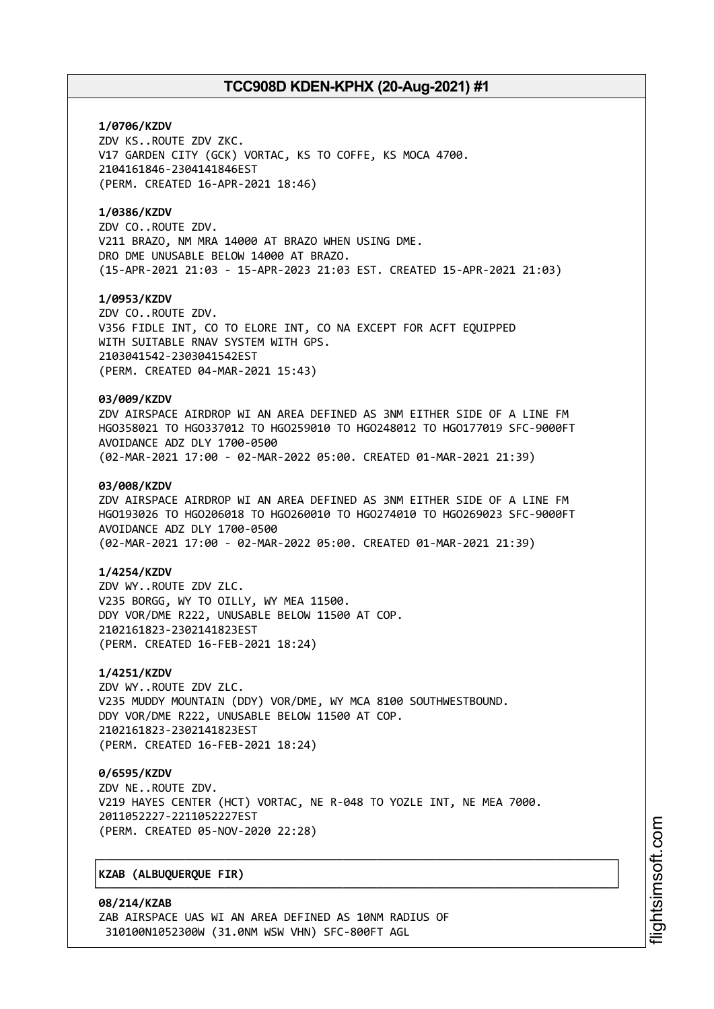### **1/0706/KZDV**

ZDV KS..ROUTE ZDV ZKC. V17 GARDEN CITY (GCK) VORTAC, KS TO COFFE, KS MOCA 4700. 2104161846-2304141846EST (PERM. CREATED 16-APR-2021 18:46)

### **1/0386/KZDV**

ZDV CO..ROUTE ZDV. V211 BRAZO, NM MRA 14000 AT BRAZO WHEN USING DME. DRO DME UNUSABLE BELOW 14000 AT BRAZO. (15-APR-2021 21:03 - 15-APR-2023 21:03 EST. CREATED 15-APR-2021 21:03)

### **1/0953/KZDV**

ZDV CO..ROUTE ZDV. V356 FIDLE INT, CO TO ELORE INT, CO NA EXCEPT FOR ACFT EQUIPPED WITH SUITABLE RNAV SYSTEM WITH GPS. 2103041542-2303041542EST (PERM. CREATED 04-MAR-2021 15:43)

### **03/009/KZDV**

ZDV AIRSPACE AIRDROP WI AN AREA DEFINED AS 3NM EITHER SIDE OF A LINE FM HGO358021 TO HGO337012 TO HGO259010 TO HGO248012 TO HGO177019 SFC-9000FT AVOIDANCE ADZ DLY 1700-0500 (02-MAR-2021 17:00 - 02-MAR-2022 05:00. CREATED 01-MAR-2021 21:39)

### **03/008/KZDV**

ZDV AIRSPACE AIRDROP WI AN AREA DEFINED AS 3NM EITHER SIDE OF A LINE FM HGO193026 TO HGO206018 TO HGO260010 TO HGO274010 TO HGO269023 SFC-9000FT AVOIDANCE ADZ DLY 1700-0500 (02-MAR-2021 17:00 - 02-MAR-2022 05:00. CREATED 01-MAR-2021 21:39)

### **1/4254/KZDV**

ZDV WY..ROUTE ZDV ZLC. V235 BORGG, WY TO OILLY, WY MEA 11500. DDY VOR/DME R222, UNUSABLE BELOW 11500 AT COP. 2102161823-2302141823EST (PERM. CREATED 16-FEB-2021 18:24)

### **1/4251/KZDV**

ZDV WY..ROUTE ZDV ZLC. V235 MUDDY MOUNTAIN (DDY) VOR/DME, WY MCA 8100 SOUTHWESTBOUND. DDY VOR/DME R222, UNUSABLE BELOW 11500 AT COP. 2102161823-2302141823EST (PERM. CREATED 16-FEB-2021 18:24)

# **0/6595/KZDV**

ZDV NE..ROUTE ZDV. V219 HAYES CENTER (HCT) VORTAC, NE R-048 TO YOZLE INT, NE MEA 7000. 2011052227-2211052227EST (PERM. CREATED 05-NOV-2020 22:28)

┌──────────────────────────────────────────────────────────────────────────────┐

└──────────────────────────────────────────────────────────────────────────────┘

### │**KZAB (ALBUQUERQUE FIR)** │

**08/214/KZAB** ZAB AIRSPACE UAS WI AN AREA DEFINED AS 10NM RADIUS OF 310100N1052300W (31.0NM WSW VHN) SFC-800FT AGL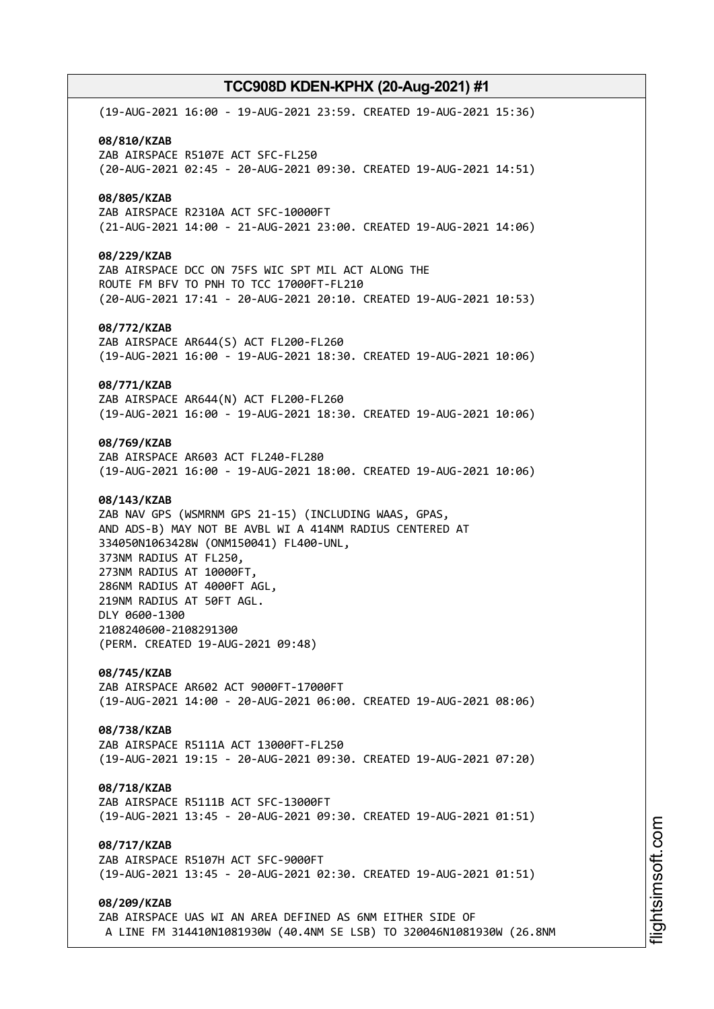(19-AUG-2021 16:00 - 19-AUG-2021 23:59. CREATED 19-AUG-2021 15:36) **08/810/KZAB** ZAB AIRSPACE R5107E ACT SFC-FL250 (20-AUG-2021 02:45 - 20-AUG-2021 09:30. CREATED 19-AUG-2021 14:51) **08/805/KZAB** ZAB AIRSPACE R2310A ACT SFC-10000FT (21-AUG-2021 14:00 - 21-AUG-2021 23:00. CREATED 19-AUG-2021 14:06) **08/229/KZAB** ZAB AIRSPACE DCC ON 75FS WIC SPT MIL ACT ALONG THE ROUTE FM BFV TO PNH TO TCC 17000FT-FL210 (20-AUG-2021 17:41 - 20-AUG-2021 20:10. CREATED 19-AUG-2021 10:53) **08/772/KZAB** ZAB AIRSPACE AR644(S) ACT FL200-FL260 (19-AUG-2021 16:00 - 19-AUG-2021 18:30. CREATED 19-AUG-2021 10:06) **08/771/KZAB** ZAB AIRSPACE AR644(N) ACT FL200-FL260 (19-AUG-2021 16:00 - 19-AUG-2021 18:30. CREATED 19-AUG-2021 10:06) **08/769/KZAB** ZAB AIRSPACE AR603 ACT FL240-FL280 (19-AUG-2021 16:00 - 19-AUG-2021 18:00. CREATED 19-AUG-2021 10:06) **08/143/KZAB** ZAB NAV GPS (WSMRNM GPS 21-15) (INCLUDING WAAS, GPAS, AND ADS-B) MAY NOT BE AVBL WI A 414NM RADIUS CENTERED AT 334050N1063428W (ONM150041) FL400-UNL, 373NM RADIUS AT FL250, 273NM RADIUS AT 10000FT, 286NM RADIUS AT 4000FT AGL, 219NM RADIUS AT 50FT AGL. DLY 0600-1300 2108240600-2108291300 (PERM. CREATED 19-AUG-2021 09:48) **08/745/KZAB** ZAB AIRSPACE AR602 ACT 9000FT-17000FT (19-AUG-2021 14:00 - 20-AUG-2021 06:00. CREATED 19-AUG-2021 08:06) **08/738/KZAB** ZAB AIRSPACE R5111A ACT 13000FT-FL250 (19-AUG-2021 19:15 - 20-AUG-2021 09:30. CREATED 19-AUG-2021 07:20) **08/718/KZAB** ZAB AIRSPACE R5111B ACT SFC-13000FT (19-AUG-2021 13:45 - 20-AUG-2021 09:30. CREATED 19-AUG-2021 01:51) **08/717/KZAB** ZAB AIRSPACE R5107H ACT SFC-9000FT (19-AUG-2021 13:45 - 20-AUG-2021 02:30. CREATED 19-AUG-2021 01:51) **08/209/KZAB** ZAB AIRSPACE UAS WI AN AREA DEFINED AS 6NM EITHER SIDE OF A LINE FM 314410N1081930W (40.4NM SE LSB) TO 320046N1081930W (26.8NM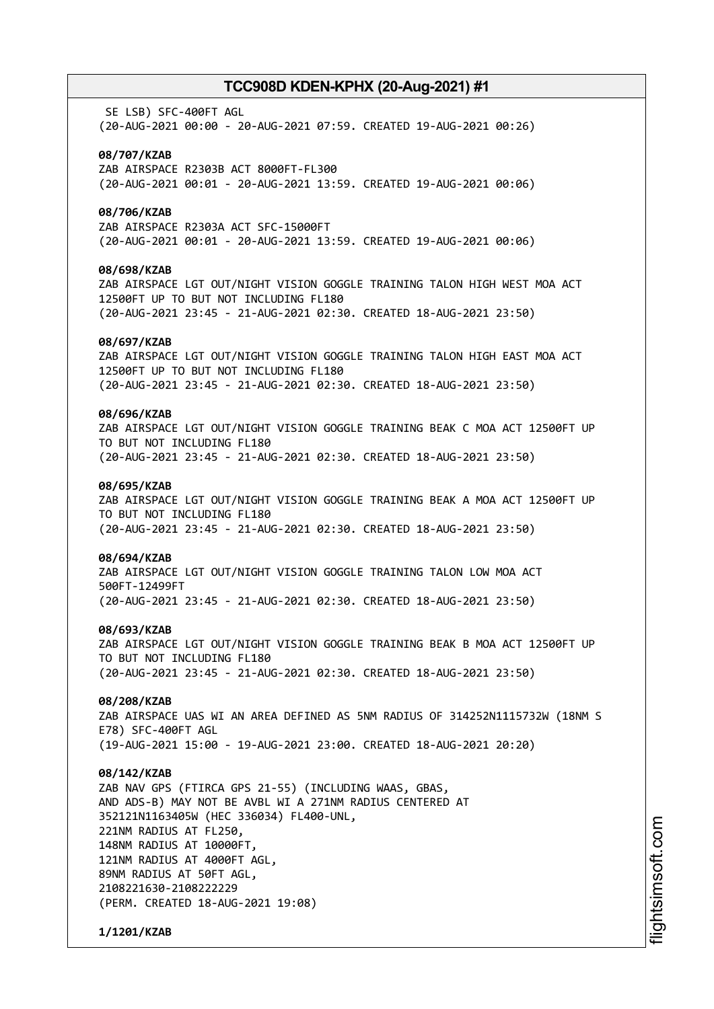SE LSB) SFC-400FT AGL (20-AUG-2021 00:00 - 20-AUG-2021 07:59. CREATED 19-AUG-2021 00:26)

### **08/707/KZAB**

ZAB AIRSPACE R2303B ACT 8000FT-FL300 (20-AUG-2021 00:01 - 20-AUG-2021 13:59. CREATED 19-AUG-2021 00:06)

### **08/706/KZAB**

ZAB AIRSPACE R2303A ACT SFC-15000FT (20-AUG-2021 00:01 - 20-AUG-2021 13:59. CREATED 19-AUG-2021 00:06)

#### **08/698/KZAB**

ZAB AIRSPACE LGT OUT/NIGHT VISION GOGGLE TRAINING TALON HIGH WEST MOA ACT 12500FT UP TO BUT NOT INCLUDING FL180 (20-AUG-2021 23:45 - 21-AUG-2021 02:30. CREATED 18-AUG-2021 23:50)

#### **08/697/KZAB**

ZAB AIRSPACE LGT OUT/NIGHT VISION GOGGLE TRAINING TALON HIGH EAST MOA ACT 12500FT UP TO BUT NOT INCLUDING FL180 (20-AUG-2021 23:45 - 21-AUG-2021 02:30. CREATED 18-AUG-2021 23:50)

### **08/696/KZAB**

ZAB AIRSPACE LGT OUT/NIGHT VISION GOGGLE TRAINING BEAK C MOA ACT 12500FT UP TO BUT NOT INCLUDING FL180 (20-AUG-2021 23:45 - 21-AUG-2021 02:30. CREATED 18-AUG-2021 23:50)

### **08/695/KZAB**

ZAB AIRSPACE LGT OUT/NIGHT VISION GOGGLE TRAINING BEAK A MOA ACT 12500FT UP TO BUT NOT INCLUDING FL180 (20-AUG-2021 23:45 - 21-AUG-2021 02:30. CREATED 18-AUG-2021 23:50)

#### **08/694/KZAB**

ZAB AIRSPACE LGT OUT/NIGHT VISION GOGGLE TRAINING TALON LOW MOA ACT 500FT-12499FT (20-AUG-2021 23:45 - 21-AUG-2021 02:30. CREATED 18-AUG-2021 23:50)

#### **08/693/KZAB**

ZAB AIRSPACE LGT OUT/NIGHT VISION GOGGLE TRAINING BEAK B MOA ACT 12500FT UP TO BUT NOT INCLUDING FL180 (20-AUG-2021 23:45 - 21-AUG-2021 02:30. CREATED 18-AUG-2021 23:50)

### **08/208/KZAB**

ZAB AIRSPACE UAS WI AN AREA DEFINED AS 5NM RADIUS OF 314252N1115732W (18NM S E78) SFC-400FT AGL (19-AUG-2021 15:00 - 19-AUG-2021 23:00. CREATED 18-AUG-2021 20:20)

#### **08/142/KZAB**

ZAB NAV GPS (FTIRCA GPS 21-55) (INCLUDING WAAS, GBAS, AND ADS-B) MAY NOT BE AVBL WI A 271NM RADIUS CENTERED AT 352121N1163405W (HEC 336034) FL400-UNL, 221NM RADIUS AT FL250, 148NM RADIUS AT 10000FT, 121NM RADIUS AT 4000FT AGL, 89NM RADIUS AT 50FT AGL, 2108221630-2108222229 (PERM. CREATED 18-AUG-2021 19:08)

**1/1201/KZAB**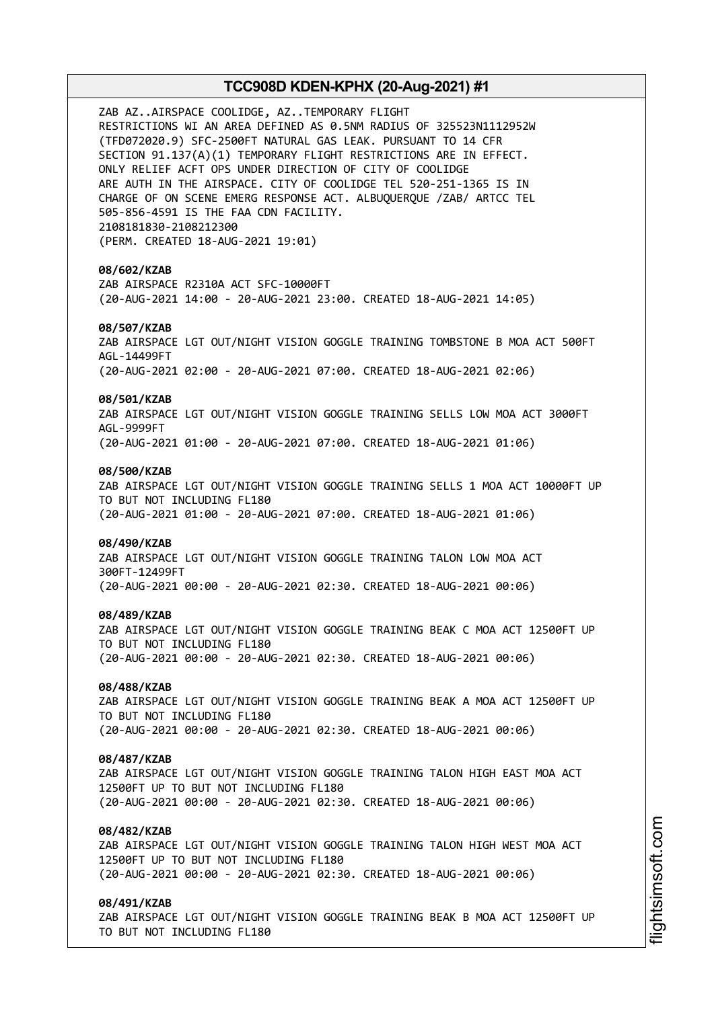ZAB AZ..AIRSPACE COOLIDGE, AZ..TEMPORARY FLIGHT RESTRICTIONS WI AN AREA DEFINED AS 0.5NM RADIUS OF 325523N1112952W (TFD072020.9) SFC-2500FT NATURAL GAS LEAK. PURSUANT TO 14 CFR SECTION 91.137(A)(1) TEMPORARY FLIGHT RESTRICTIONS ARE IN EFFECT. ONLY RELIEF ACFT OPS UNDER DIRECTION OF CITY OF COOLIDGE ARE AUTH IN THE AIRSPACE. CITY OF COOLIDGE TEL 520-251-1365 IS IN CHARGE OF ON SCENE EMERG RESPONSE ACT. ALBUQUERQUE /ZAB/ ARTCC TEL 505-856-4591 IS THE FAA CDN FACILITY. 2108181830-2108212300 (PERM. CREATED 18-AUG-2021 19:01) **08/602/KZAB** ZAB AIRSPACE R2310A ACT SFC-10000FT (20-AUG-2021 14:00 - 20-AUG-2021 23:00. CREATED 18-AUG-2021 14:05) **08/507/KZAB** ZAB AIRSPACE LGT OUT/NIGHT VISION GOGGLE TRAINING TOMBSTONE B MOA ACT 500FT AGL-14499FT (20-AUG-2021 02:00 - 20-AUG-2021 07:00. CREATED 18-AUG-2021 02:06) **08/501/KZAB** ZAB AIRSPACE LGT OUT/NIGHT VISION GOGGLE TRAINING SELLS LOW MOA ACT 3000FT AGL-9999FT (20-AUG-2021 01:00 - 20-AUG-2021 07:00. CREATED 18-AUG-2021 01:06) **08/500/KZAB** ZAB AIRSPACE LGT OUT/NIGHT VISION GOGGLE TRAINING SELLS 1 MOA ACT 10000FT UP TO BUT NOT INCLUDING FL180 (20-AUG-2021 01:00 - 20-AUG-2021 07:00. CREATED 18-AUG-2021 01:06) **08/490/KZAB** ZAB AIRSPACE LGT OUT/NIGHT VISION GOGGLE TRAINING TALON LOW MOA ACT 300FT-12499FT (20-AUG-2021 00:00 - 20-AUG-2021 02:30. CREATED 18-AUG-2021 00:06) **08/489/KZAB** ZAB AIRSPACE LGT OUT/NIGHT VISION GOGGLE TRAINING BEAK C MOA ACT 12500FT UP TO BUT NOT INCLUDING FL180 (20-AUG-2021 00:00 - 20-AUG-2021 02:30. CREATED 18-AUG-2021 00:06) **08/488/KZAB** ZAB AIRSPACE LGT OUT/NIGHT VISION GOGGLE TRAINING BEAK A MOA ACT 12500FT UP TO BUT NOT INCLUDING FL180 (20-AUG-2021 00:00 - 20-AUG-2021 02:30. CREATED 18-AUG-2021 00:06) **08/487/KZAB** ZAB AIRSPACE LGT OUT/NIGHT VISION GOGGLE TRAINING TALON HIGH EAST MOA ACT 12500FT UP TO BUT NOT INCLUDING FL180 (20-AUG-2021 00:00 - 20-AUG-2021 02:30. CREATED 18-AUG-2021 00:06) **08/482/KZAB** ZAB AIRSPACE LGT OUT/NIGHT VISION GOGGLE TRAINING TALON HIGH WEST MOA ACT 12500FT UP TO BUT NOT INCLUDING FL180 (20-AUG-2021 00:00 - 20-AUG-2021 02:30. CREATED 18-AUG-2021 00:06) **08/491/KZAB** ZAB AIRSPACE LGT OUT/NIGHT VISION GOGGLE TRAINING BEAK B MOA ACT 12500FT UP

TO BUT NOT INCLUDING FL180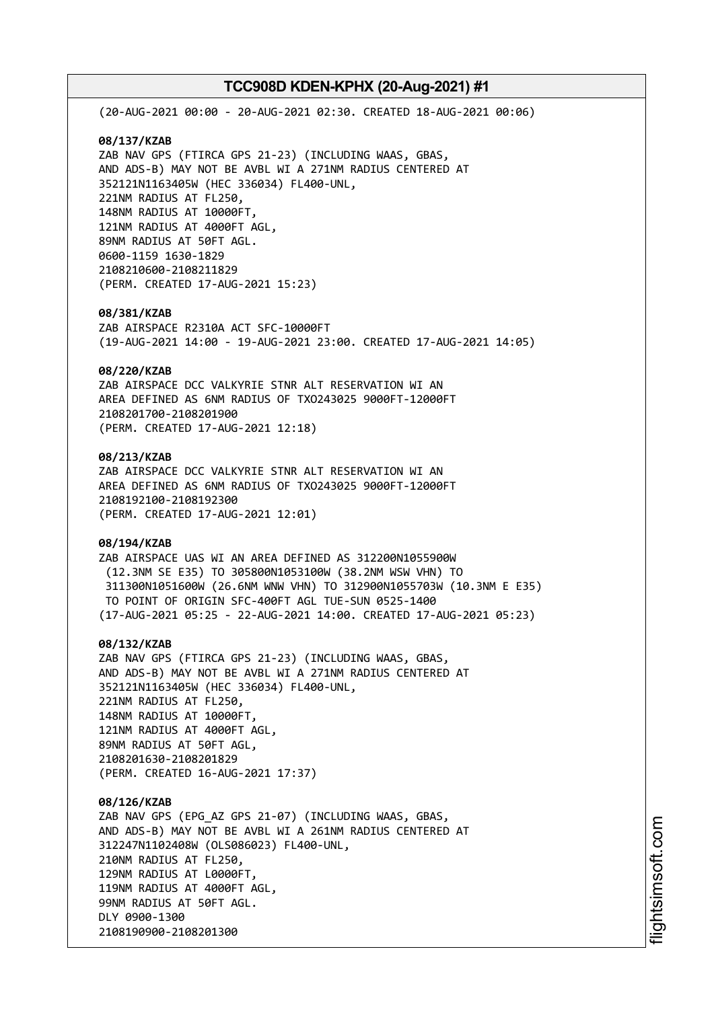(20-AUG-2021 00:00 - 20-AUG-2021 02:30. CREATED 18-AUG-2021 00:06) **08/137/KZAB** ZAB NAV GPS (FTIRCA GPS 21-23) (INCLUDING WAAS, GBAS, AND ADS-B) MAY NOT BE AVBL WI A 271NM RADIUS CENTERED AT 352121N1163405W (HEC 336034) FL400-UNL, 221NM RADIUS AT FL250, 148NM RADIUS AT 10000FT, 121NM RADIUS AT 4000FT AGL, 89NM RADIUS AT 50FT AGL. 0600-1159 1630-1829 2108210600-2108211829 (PERM. CREATED 17-AUG-2021 15:23) **08/381/KZAB** ZAB AIRSPACE R2310A ACT SFC-10000FT (19-AUG-2021 14:00 - 19-AUG-2021 23:00. CREATED 17-AUG-2021 14:05) **08/220/KZAB** ZAB AIRSPACE DCC VALKYRIE STNR ALT RESERVATION WI AN AREA DEFINED AS 6NM RADIUS OF TXO243025 9000FT-12000FT 2108201700-2108201900 (PERM. CREATED 17-AUG-2021 12:18) **08/213/KZAB** ZAB AIRSPACE DCC VALKYRIE STNR ALT RESERVATION WI AN AREA DEFINED AS 6NM RADIUS OF TXO243025 9000FT-12000FT 2108192100-2108192300 (PERM. CREATED 17-AUG-2021 12:01) **08/194/KZAB** ZAB AIRSPACE UAS WI AN AREA DEFINED AS 312200N1055900W (12.3NM SE E35) TO 305800N1053100W (38.2NM WSW VHN) TO 311300N1051600W (26.6NM WNW VHN) TO 312900N1055703W (10.3NM E E35) TO POINT OF ORIGIN SFC-400FT AGL TUE-SUN 0525-1400 (17-AUG-2021 05:25 - 22-AUG-2021 14:00. CREATED 17-AUG-2021 05:23) **08/132/KZAB** ZAB NAV GPS (FTIRCA GPS 21-23) (INCLUDING WAAS, GBAS, AND ADS-B) MAY NOT BE AVBL WI A 271NM RADIUS CENTERED AT 352121N1163405W (HEC 336034) FL400-UNL, 221NM RADIUS AT FL250, 148NM RADIUS AT 10000FT, 121NM RADIUS AT 4000FT AGL, 89NM RADIUS AT 50FT AGL, 2108201630-2108201829 (PERM. CREATED 16-AUG-2021 17:37) **08/126/KZAB** ZAB NAV GPS (EPG\_AZ GPS 21-07) (INCLUDING WAAS, GBAS, AND ADS-B) MAY NOT BE AVBL WI A 261NM RADIUS CENTERED AT 312247N1102408W (OLS086023) FL400-UNL, 210NM RADIUS AT FL250,

129NM RADIUS AT L0000FT, 119NM RADIUS AT 4000FT AGL, 99NM RADIUS AT 50FT AGL. DLY 0900-1300 2108190900-2108201300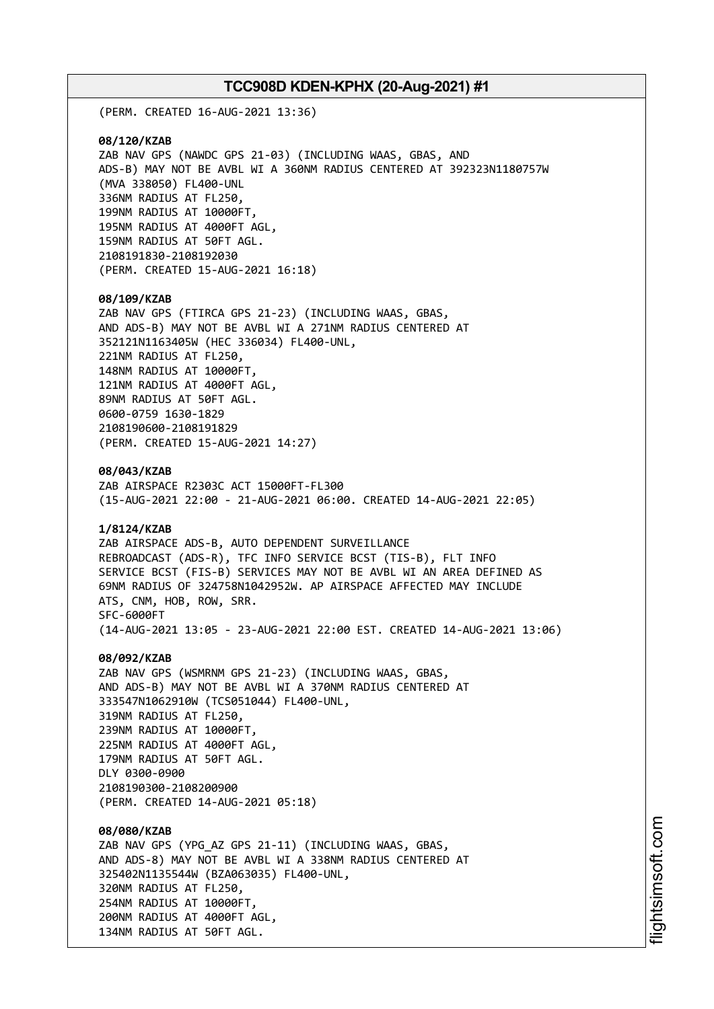(PERM. CREATED 16-AUG-2021 13:36)

**08/120/KZAB** ZAB NAV GPS (NAWDC GPS 21-03) (INCLUDING WAAS, GBAS, AND ADS-B) MAY NOT BE AVBL WI A 360NM RADIUS CENTERED AT 392323N1180757W (MVA 338050) FL400-UNL 336NM RADIUS AT FL250, 199NM RADIUS AT 10000FT, 195NM RADIUS AT 4000FT AGL, 159NM RADIUS AT 50FT AGL. 2108191830-2108192030 (PERM. CREATED 15-AUG-2021 16:18)

#### **08/109/KZAB**

ZAB NAV GPS (FTIRCA GPS 21-23) (INCLUDING WAAS, GBAS, AND ADS-B) MAY NOT BE AVBL WI A 271NM RADIUS CENTERED AT 352121N1163405W (HEC 336034) FL400-UNL, 221NM RADIUS AT FL250, 148NM RADIUS AT 10000FT, 121NM RADIUS AT 4000FT AGL, 89NM RADIUS AT 50FT AGL. 0600-0759 1630-1829 2108190600-2108191829 (PERM. CREATED 15-AUG-2021 14:27)

**08/043/KZAB**

ZAB AIRSPACE R2303C ACT 15000FT-FL300 (15-AUG-2021 22:00 - 21-AUG-2021 06:00. CREATED 14-AUG-2021 22:05)

### **1/8124/KZAB**

ZAB AIRSPACE ADS-B, AUTO DEPENDENT SURVEILLANCE REBROADCAST (ADS-R), TFC INFO SERVICE BCST (TIS-B), FLT INFO SERVICE BCST (FIS-B) SERVICES MAY NOT BE AVBL WI AN AREA DEFINED AS 69NM RADIUS OF 324758N1042952W. AP AIRSPACE AFFECTED MAY INCLUDE ATS, CNM, HOB, ROW, SRR. SFC-6000FT (14-AUG-2021 13:05 - 23-AUG-2021 22:00 EST. CREATED 14-AUG-2021 13:06)

#### **08/092/KZAB**

ZAB NAV GPS (WSMRNM GPS 21-23) (INCLUDING WAAS, GBAS, AND ADS-B) MAY NOT BE AVBL WI A 370NM RADIUS CENTERED AT 333547N1062910W (TCS051044) FL400-UNL, 319NM RADIUS AT FL250, 239NM RADIUS AT 10000FT, 225NM RADIUS AT 4000FT AGL, 179NM RADIUS AT 50FT AGL. DLY 0300-0900 2108190300-2108200900 (PERM. CREATED 14-AUG-2021 05:18)

### **08/080/KZAB**

ZAB NAV GPS (YPG\_AZ GPS 21-11) (INCLUDING WAAS, GBAS, AND ADS-8) MAY NOT BE AVBL WI A 338NM RADIUS CENTERED AT 325402N1135544W (BZA063035) FL400-UNL, 320NM RADIUS AT FL250, 254NM RADIUS AT 10000FT, 200NM RADIUS AT 4000FT AGL, 134NM RADIUS AT 50FT AGL.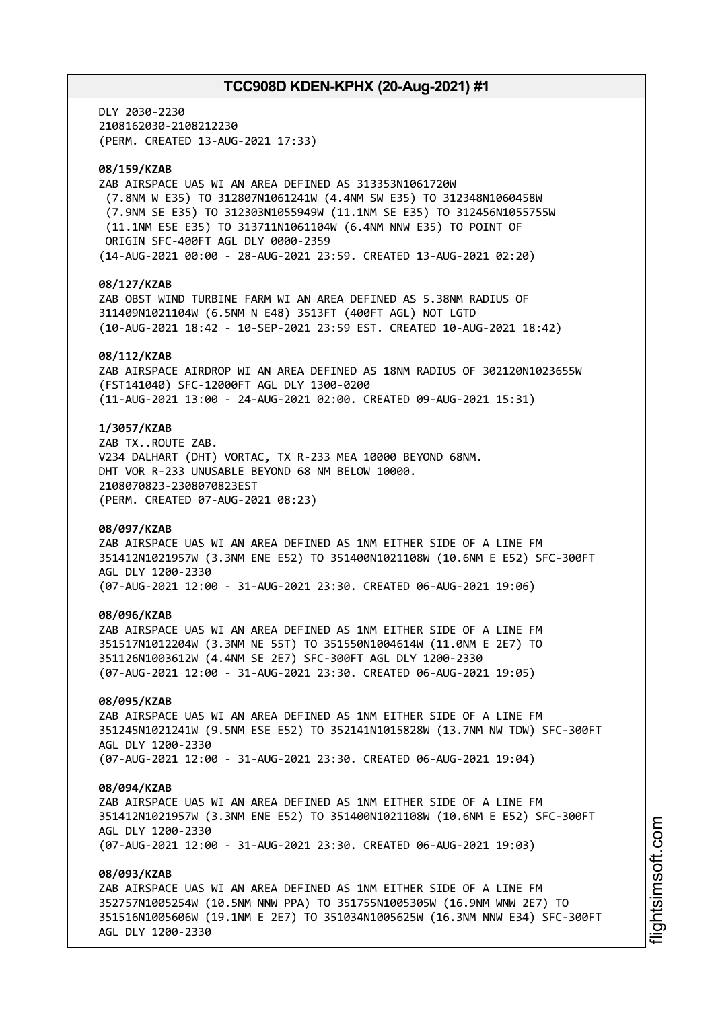DLY 2030-2230 2108162030-2108212230 (PERM. CREATED 13-AUG-2021 17:33)

# **08/159/KZAB**

ZAB AIRSPACE UAS WI AN AREA DEFINED AS 313353N1061720W (7.8NM W E35) TO 312807N1061241W (4.4NM SW E35) TO 312348N1060458W (7.9NM SE E35) TO 312303N1055949W (11.1NM SE E35) TO 312456N1055755W (11.1NM ESE E35) TO 313711N1061104W (6.4NM NNW E35) TO POINT OF ORIGIN SFC-400FT AGL DLY 0000-2359 (14-AUG-2021 00:00 - 28-AUG-2021 23:59. CREATED 13-AUG-2021 02:20)

### **08/127/KZAB**

ZAB OBST WIND TURBINE FARM WI AN AREA DEFINED AS 5.38NM RADIUS OF 311409N1021104W (6.5NM N E48) 3513FT (400FT AGL) NOT LGTD (10-AUG-2021 18:42 - 10-SEP-2021 23:59 EST. CREATED 10-AUG-2021 18:42)

### **08/112/KZAB**

ZAB AIRSPACE AIRDROP WI AN AREA DEFINED AS 18NM RADIUS OF 302120N1023655W (FST141040) SFC-12000FT AGL DLY 1300-0200 (11-AUG-2021 13:00 - 24-AUG-2021 02:00. CREATED 09-AUG-2021 15:31)

### **1/3057/KZAB**

ZAB TX..ROUTE ZAB. V234 DALHART (DHT) VORTAC, TX R-233 MEA 10000 BEYOND 68NM. DHT VOR R-233 UNUSABLE BEYOND 68 NM BELOW 10000. 2108070823-2308070823EST (PERM. CREATED 07-AUG-2021 08:23)

### **08/097/KZAB**

ZAB AIRSPACE UAS WI AN AREA DEFINED AS 1NM EITHER SIDE OF A LINE FM 351412N1021957W (3.3NM ENE E52) TO 351400N1021108W (10.6NM E E52) SFC-300FT AGL DLY 1200-2330 (07-AUG-2021 12:00 - 31-AUG-2021 23:30. CREATED 06-AUG-2021 19:06)

#### **08/096/KZAB**

ZAB AIRSPACE UAS WI AN AREA DEFINED AS 1NM EITHER SIDE OF A LINE FM 351517N1012204W (3.3NM NE 55T) TO 351550N1004614W (11.0NM E 2E7) TO 351126N1003612W (4.4NM SE 2E7) SFC-300FT AGL DLY 1200-2330 (07-AUG-2021 12:00 - 31-AUG-2021 23:30. CREATED 06-AUG-2021 19:05)

### **08/095/KZAB**

ZAB AIRSPACE UAS WI AN AREA DEFINED AS 1NM EITHER SIDE OF A LINE FM 351245N1021241W (9.5NM ESE E52) TO 352141N1015828W (13.7NM NW TDW) SFC-300FT AGL DLY 1200-2330 (07-AUG-2021 12:00 - 31-AUG-2021 23:30. CREATED 06-AUG-2021 19:04)

#### **08/094/KZAB**

ZAB AIRSPACE UAS WI AN AREA DEFINED AS 1NM EITHER SIDE OF A LINE FM 351412N1021957W (3.3NM ENE E52) TO 351400N1021108W (10.6NM E E52) SFC-300FT AGL DLY 1200-2330 (07-AUG-2021 12:00 - 31-AUG-2021 23:30. CREATED 06-AUG-2021 19:03)

#### **08/093/KZAB**

ZAB AIRSPACE UAS WI AN AREA DEFINED AS 1NM EITHER SIDE OF A LINE FM 352757N1005254W (10.5NM NNW PPA) TO 351755N1005305W (16.9NM WNW 2E7) TO 351516N1005606W (19.1NM E 2E7) TO 351034N1005625W (16.3NM NNW E34) SFC-300FT AGL DLY 1200-2330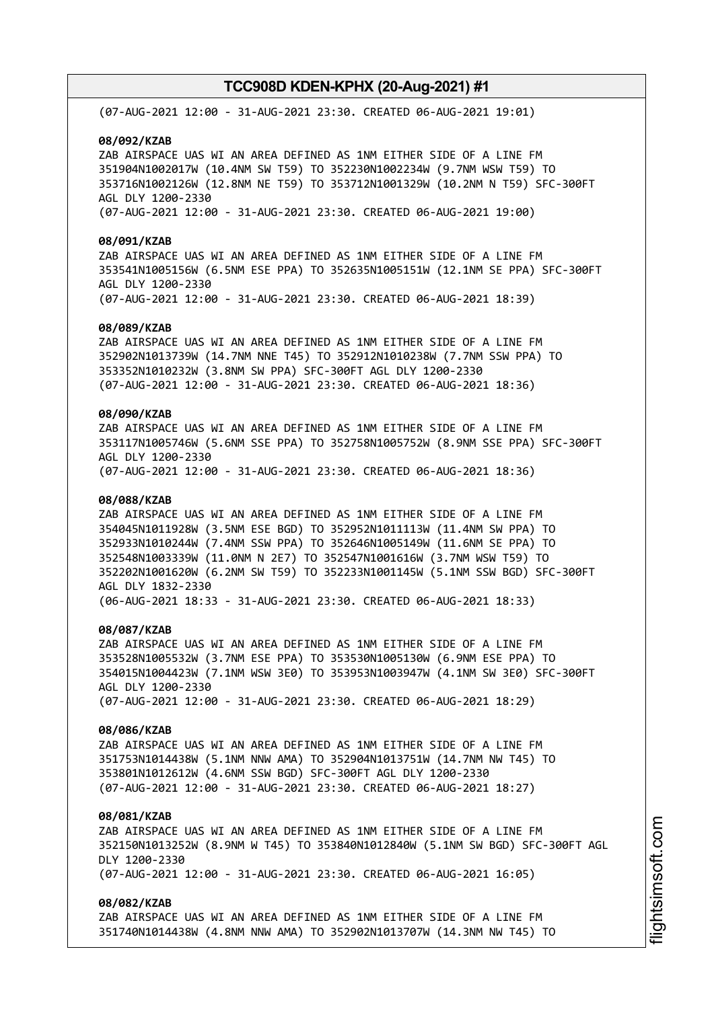(07-AUG-2021 12:00 - 31-AUG-2021 23:30. CREATED 06-AUG-2021 19:01)

**08/092/KZAB**

ZAB AIRSPACE UAS WI AN AREA DEFINED AS 1NM EITHER SIDE OF A LINE FM 351904N1002017W (10.4NM SW T59) TO 352230N1002234W (9.7NM WSW T59) TO 353716N1002126W (12.8NM NE T59) TO 353712N1001329W (10.2NM N T59) SFC-300FT AGL DLY 1200-2330 (07-AUG-2021 12:00 - 31-AUG-2021 23:30. CREATED 06-AUG-2021 19:00)

#### **08/091/KZAB**

ZAB AIRSPACE UAS WI AN AREA DEFINED AS 1NM EITHER SIDE OF A LINE FM 353541N1005156W (6.5NM ESE PPA) TO 352635N1005151W (12.1NM SE PPA) SFC-300FT AGL DLY 1200-2330 (07-AUG-2021 12:00 - 31-AUG-2021 23:30. CREATED 06-AUG-2021 18:39)

#### **08/089/KZAB**

ZAB AIRSPACE UAS WI AN AREA DEFINED AS 1NM EITHER SIDE OF A LINE FM 352902N1013739W (14.7NM NNE T45) TO 352912N1010238W (7.7NM SSW PPA) TO 353352N1010232W (3.8NM SW PPA) SFC-300FT AGL DLY 1200-2330 (07-AUG-2021 12:00 - 31-AUG-2021 23:30. CREATED 06-AUG-2021 18:36)

# **08/090/KZAB**

ZAB AIRSPACE UAS WI AN AREA DEFINED AS 1NM EITHER SIDE OF A LINE FM 353117N1005746W (5.6NM SSE PPA) TO 352758N1005752W (8.9NM SSE PPA) SFC-300FT AGL DLY 1200-2330 (07-AUG-2021 12:00 - 31-AUG-2021 23:30. CREATED 06-AUG-2021 18:36)

#### **08/088/KZAB**

ZAB AIRSPACE UAS WI AN AREA DEFINED AS 1NM EITHER SIDE OF A LINE FM 354045N1011928W (3.5NM ESE BGD) TO 352952N1011113W (11.4NM SW PPA) TO 352933N1010244W (7.4NM SSW PPA) TO 352646N1005149W (11.6NM SE PPA) TO 352548N1003339W (11.0NM N 2E7) TO 352547N1001616W (3.7NM WSW T59) TO 352202N1001620W (6.2NM SW T59) TO 352233N1001145W (5.1NM SSW BGD) SFC-300FT AGL DLY 1832-2330 (06-AUG-2021 18:33 - 31-AUG-2021 23:30. CREATED 06-AUG-2021 18:33)

### **08/087/KZAB**

ZAB AIRSPACE UAS WI AN AREA DEFINED AS 1NM EITHER SIDE OF A LINE FM 353528N1005532W (3.7NM ESE PPA) TO 353530N1005130W (6.9NM ESE PPA) TO 354015N1004423W (7.1NM WSW 3E0) TO 353953N1003947W (4.1NM SW 3E0) SFC-300FT AGL DLY 1200-2330 (07-AUG-2021 12:00 - 31-AUG-2021 23:30. CREATED 06-AUG-2021 18:29)

# **08/086/KZAB**

ZAB AIRSPACE UAS WI AN AREA DEFINED AS 1NM EITHER SIDE OF A LINE FM 351753N1014438W (5.1NM NNW AMA) TO 352904N1013751W (14.7NM NW T45) TO 353801N1012612W (4.6NM SSW BGD) SFC-300FT AGL DLY 1200-2330 (07-AUG-2021 12:00 - 31-AUG-2021 23:30. CREATED 06-AUG-2021 18:27)

### **08/081/KZAB**

ZAB AIRSPACE UAS WI AN AREA DEFINED AS 1NM EITHER SIDE OF A LINE FM 352150N1013252W (8.9NM W T45) TO 353840N1012840W (5.1NM SW BGD) SFC-300FT AGL DLY 1200-2330 (07-AUG-2021 12:00 - 31-AUG-2021 23:30. CREATED 06-AUG-2021 16:05)

### **08/082/KZAB**

ZAB AIRSPACE UAS WI AN AREA DEFINED AS 1NM EITHER SIDE OF A LINE FM 351740N1014438W (4.8NM NNW AMA) TO 352902N1013707W (14.3NM NW T45) TO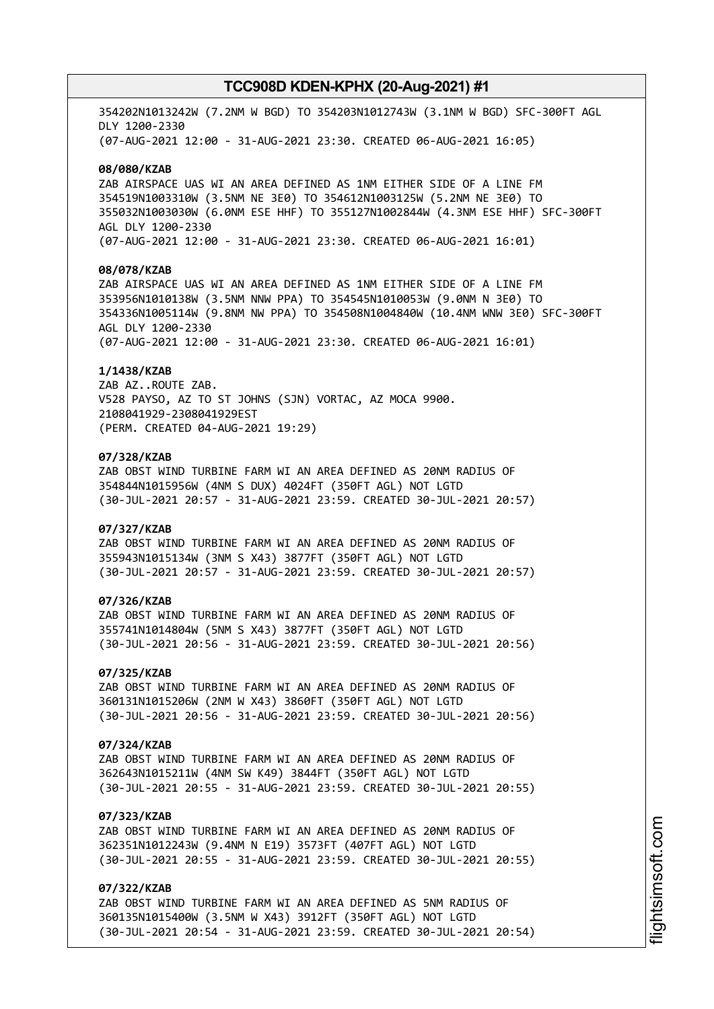354202N1013242W (7.2NM W BGD) TO 354203N1012743W (3.1NM W BGD) SFC-300FT AGL DLY 1200-2330 (07-AUG-2021 12:00 - 31-AUG-2021 23:30. CREATED 06-AUG-2021 16:05)

#### **08/080/KZAB**

ZAB AIRSPACE UAS WI AN AREA DEFINED AS 1NM EITHER SIDE OF A LINE FM 354519N1003310W (3.5NM NE 3E0) TO 354612N1003125W (5.2NM NE 3E0) TO 355032N1003030W (6.0NM ESE HHF) TO 355127N1002844W (4.3NM ESE HHF) SFC-300FT AGL DLY 1200-2330 (07-AUG-2021 12:00 - 31-AUG-2021 23:30. CREATED 06-AUG-2021 16:01)

# **08/078/KZAB**

ZAB AIRSPACE UAS WI AN AREA DEFINED AS 1NM EITHER SIDE OF A LINE FM 353956N1010138W (3.5NM NNW PPA) TO 354545N1010053W (9.0NM N 3E0) TO 354336N1005114W (9.8NM NW PPA) TO 354508N1004840W (10.4NM WNW 3E0) SFC-300FT AGL DLY 1200-2330 (07-AUG-2021 12:00 - 31-AUG-2021 23:30. CREATED 06-AUG-2021 16:01)

#### **1/1438/KZAB**

ZAB AZ..ROUTE ZAB. V528 PAYSO, AZ TO ST JOHNS (SJN) VORTAC, AZ MOCA 9900. 2108041929-2308041929EST (PERM. CREATED 04-AUG-2021 19:29)

### **07/328/KZAB**

ZAB OBST WIND TURBINE FARM WI AN AREA DEFINED AS 20NM RADIUS OF 354844N1015956W (4NM S DUX) 4024FT (350FT AGL) NOT LGTD (30-JUL-2021 20:57 - 31-AUG-2021 23:59. CREATED 30-JUL-2021 20:57)

### **07/327/KZAB**

ZAB OBST WIND TURBINE FARM WI AN AREA DEFINED AS 20NM RADIUS OF 355943N1015134W (3NM S X43) 3877FT (350FT AGL) NOT LGTD (30-JUL-2021 20:57 - 31-AUG-2021 23:59. CREATED 30-JUL-2021 20:57)

### **07/326/KZAB**

ZAB OBST WIND TURBINE FARM WI AN AREA DEFINED AS 20NM RADIUS OF 355741N1014804W (5NM S X43) 3877FT (350FT AGL) NOT LGTD (30-JUL-2021 20:56 - 31-AUG-2021 23:59. CREATED 30-JUL-2021 20:56)

#### **07/325/KZAB**

ZAB OBST WIND TURBINE FARM WI AN AREA DEFINED AS 20NM RADIUS OF 360131N1015206W (2NM W X43) 3860FT (350FT AGL) NOT LGTD (30-JUL-2021 20:56 - 31-AUG-2021 23:59. CREATED 30-JUL-2021 20:56)

### **07/324/KZAB**

ZAB OBST WIND TURBINE FARM WI AN AREA DEFINED AS 20NM RADIUS OF 362643N1015211W (4NM SW K49) 3844FT (350FT AGL) NOT LGTD (30-JUL-2021 20:55 - 31-AUG-2021 23:59. CREATED 30-JUL-2021 20:55)

# **07/323/KZAB**

ZAB OBST WIND TURBINE FARM WI AN AREA DEFINED AS 20NM RADIUS OF 362351N1012243W (9.4NM N E19) 3573FT (407FT AGL) NOT LGTD (30-JUL-2021 20:55 - 31-AUG-2021 23:59. CREATED 30-JUL-2021 20:55)

# **07/322/KZAB**

ZAB OBST WIND TURBINE FARM WI AN AREA DEFINED AS 5NM RADIUS OF 360135N1015400W (3.5NM W X43) 3912FT (350FT AGL) NOT LGTD (30-JUL-2021 20:54 - 31-AUG-2021 23:59. CREATED 30-JUL-2021 20:54)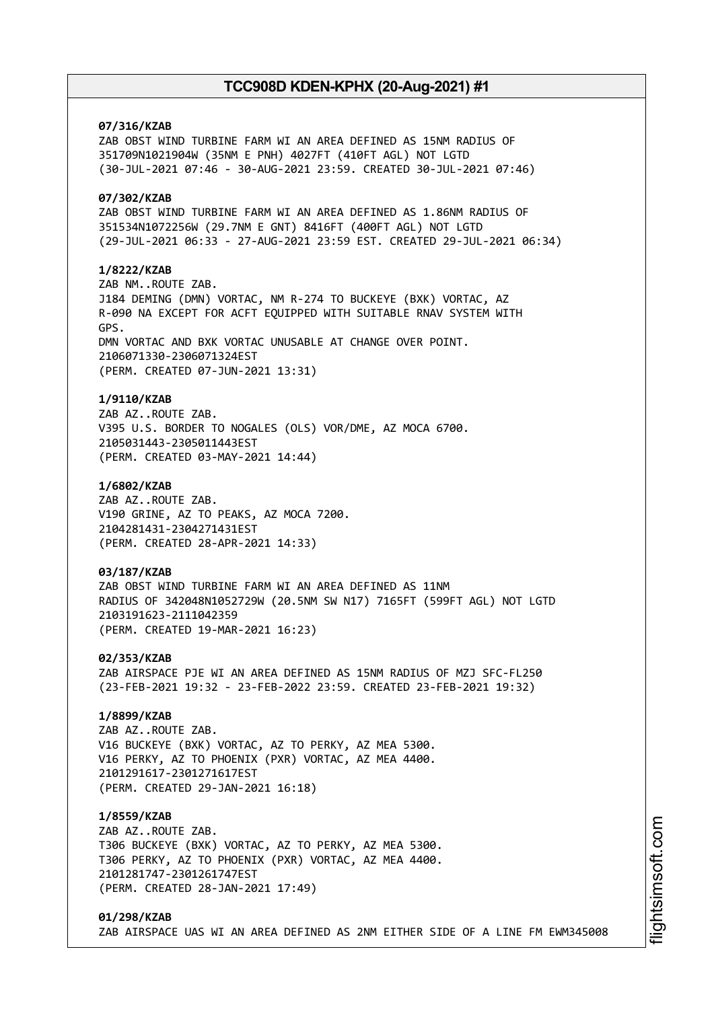# **07/316/KZAB**

ZAB OBST WIND TURBINE FARM WI AN AREA DEFINED AS 15NM RADIUS OF 351709N1021904W (35NM E PNH) 4027FT (410FT AGL) NOT LGTD (30-JUL-2021 07:46 - 30-AUG-2021 23:59. CREATED 30-JUL-2021 07:46)

# **07/302/KZAB**

ZAB OBST WIND TURBINE FARM WI AN AREA DEFINED AS 1.86NM RADIUS OF 351534N1072256W (29.7NM E GNT) 8416FT (400FT AGL) NOT LGTD (29-JUL-2021 06:33 - 27-AUG-2021 23:59 EST. CREATED 29-JUL-2021 06:34)

### **1/8222/KZAB**

ZAB NM..ROUTE ZAB. J184 DEMING (DMN) VORTAC, NM R-274 TO BUCKEYE (BXK) VORTAC, AZ R-090 NA EXCEPT FOR ACFT EQUIPPED WITH SUITABLE RNAV SYSTEM WITH GPS. DMN VORTAC AND BXK VORTAC UNUSABLE AT CHANGE OVER POINT. 2106071330-2306071324EST (PERM. CREATED 07-JUN-2021 13:31)

### **1/9110/KZAB**

ZAB AZ..ROUTE ZAB. V395 U.S. BORDER TO NOGALES (OLS) VOR/DME, AZ MOCA 6700. 2105031443-2305011443EST (PERM. CREATED 03-MAY-2021 14:44)

### **1/6802/KZAB**

ZAB AZ..ROUTE ZAB. V190 GRINE, AZ TO PEAKS, AZ MOCA 7200. 2104281431-2304271431EST (PERM. CREATED 28-APR-2021 14:33)

# **03/187/KZAB**

ZAB OBST WIND TURBINE FARM WI AN AREA DEFINED AS 11NM RADIUS OF 342048N1052729W (20.5NM SW N17) 7165FT (599FT AGL) NOT LGTD 2103191623-2111042359 (PERM. CREATED 19-MAR-2021 16:23)

**02/353/KZAB** ZAB AIRSPACE PJE WI AN AREA DEFINED AS 15NM RADIUS OF MZJ SFC-FL250 (23-FEB-2021 19:32 - 23-FEB-2022 23:59. CREATED 23-FEB-2021 19:32)

### **1/8899/KZAB**

ZAB AZ..ROUTE ZAB. V16 BUCKEYE (BXK) VORTAC, AZ TO PERKY, AZ MEA 5300. V16 PERKY, AZ TO PHOENIX (PXR) VORTAC, AZ MEA 4400. 2101291617-2301271617EST (PERM. CREATED 29-JAN-2021 16:18)

### **1/8559/KZAB**

ZAB AZ..ROUTE ZAB. T306 BUCKEYE (BXK) VORTAC, AZ TO PERKY, AZ MEA 5300. T306 PERKY, AZ TO PHOENIX (PXR) VORTAC, AZ MEA 4400. 2101281747-2301261747EST (PERM. CREATED 28-JAN-2021 17:49)

### **01/298/KZAB** ZAB AIRSPACE UAS WI AN AREA DEFINED AS 2NM EITHER SIDE OF A LINE FM EWM345008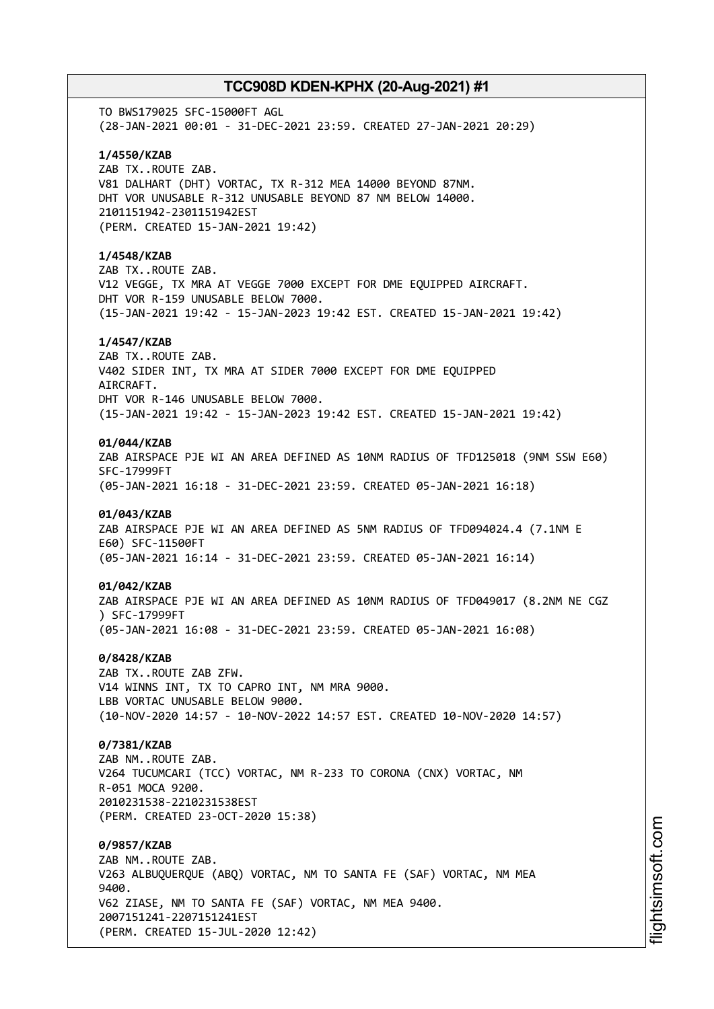TO BWS179025 SFC-15000FT AGL (28-JAN-2021 00:01 - 31-DEC-2021 23:59. CREATED 27-JAN-2021 20:29) **1/4550/KZAB** ZAB TX..ROUTE ZAB. V81 DALHART (DHT) VORTAC, TX R-312 MEA 14000 BEYOND 87NM. DHT VOR UNUSABLE R-312 UNUSABLE BEYOND 87 NM BELOW 14000. 2101151942-2301151942EST (PERM. CREATED 15-JAN-2021 19:42) **1/4548/KZAB** ZAB TX..ROUTE ZAB. V12 VEGGE, TX MRA AT VEGGE 7000 EXCEPT FOR DME EQUIPPED AIRCRAFT. DHT VOR R-159 UNUSABLE BELOW 7000. (15-JAN-2021 19:42 - 15-JAN-2023 19:42 EST. CREATED 15-JAN-2021 19:42) **1/4547/KZAB** ZAB TX..ROUTE ZAB. V402 SIDER INT, TX MRA AT SIDER 7000 EXCEPT FOR DME EQUIPPED AIRCRAFT. DHT VOR R-146 UNUSABLE BELOW 7000. (15-JAN-2021 19:42 - 15-JAN-2023 19:42 EST. CREATED 15-JAN-2021 19:42) **01/044/KZAB** ZAB AIRSPACE PJE WI AN AREA DEFINED AS 10NM RADIUS OF TFD125018 (9NM SSW E60) SFC-17999FT (05-JAN-2021 16:18 - 31-DEC-2021 23:59. CREATED 05-JAN-2021 16:18) **01/043/KZAB** ZAB AIRSPACE PJE WI AN AREA DEFINED AS 5NM RADIUS OF TFD094024.4 (7.1NM E E60) SFC-11500FT (05-JAN-2021 16:14 - 31-DEC-2021 23:59. CREATED 05-JAN-2021 16:14) **01/042/KZAB** ZAB AIRSPACE PJE WI AN AREA DEFINED AS 10NM RADIUS OF TFD049017 (8.2NM NE CGZ ) SFC-17999FT (05-JAN-2021 16:08 - 31-DEC-2021 23:59. CREATED 05-JAN-2021 16:08) **0/8428/KZAB** ZAB TX..ROUTE ZAB ZFW. V14 WINNS INT, TX TO CAPRO INT, NM MRA 9000. LBB VORTAC UNUSABLE BELOW 9000. (10-NOV-2020 14:57 - 10-NOV-2022 14:57 EST. CREATED 10-NOV-2020 14:57) **0/7381/KZAB** ZAB NM..ROUTE ZAB. V264 TUCUMCARI (TCC) VORTAC, NM R-233 TO CORONA (CNX) VORTAC, NM R-051 MOCA 9200. 2010231538-2210231538EST (PERM. CREATED 23-OCT-2020 15:38) **0/9857/KZAB** ZAB NM..ROUTE ZAB. V263 ALBUQUERQUE (ABQ) VORTAC, NM TO SANTA FE (SAF) VORTAC, NM MEA 9400. V62 ZIASE, NM TO SANTA FE (SAF) VORTAC, NM MEA 9400. 2007151241-2207151241EST (PERM. CREATED 15-JUL-2020 12:42)